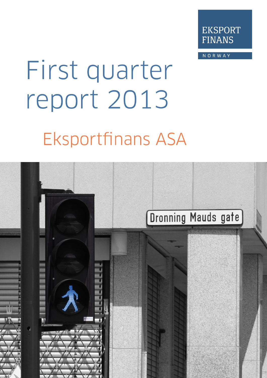

NORWAY

# First quarter report 2013 **Eksportfinans ASA**

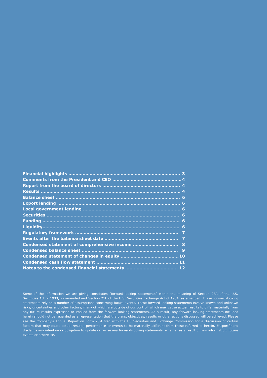Some of the information we are giving constitutes "forward-looking statements" within the meaning of Section 27A of the U.S. Securities Act of 1933, as amended and Section 21E of the U.S. Securities Exchange Act of 1934, as amended. These forward-looking statements rely on a number of assumptions concerning future events. These forward-looking statements involve known and unknown risks, uncertainties and other factors, many of which are outside of our control, which may cause actual results to differ materially from any future results expressed or implied from the forward-looking statements. As a result, any forward-looking statements included herein should not be regarded as a representation that the plans, objectives, results or other actions discussed will be achieved. Please see the Company's Annual Report on Form 20-f filed with the US Securities and Exchange Commission for a discussion of certain factors that may cause actual results, performance or events to be materially different from those referred to herein. Eksportfinans disclaims any intention or obligation to update or revise any forward-looking statements, whether as a result of new information, future events or otherwise.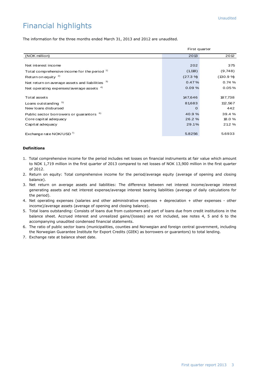# Financial highlights

The information for the three months ended March 31, 2013 and 2012 are unaudited.

|                                                         | First quarter |          |
|---------------------------------------------------------|---------------|----------|
| (NOK million)                                           | 2013          | 2012     |
|                                                         |               |          |
| Net interest income                                     | 202           | 375      |
| Total comprehensive income for the period <sup>1)</sup> | (1, 118)      | (9,748)  |
| Return on equity $2$                                    | (27.3 %       | (130.9 % |
| Net return on average assets and liabilities 3)         | 0.47%         | 0.74%    |
| Net operating expenses/average assets $4)$              | 0.09%         | 0.05%    |
|                                                         |               |          |
| Total assets                                            | 147,646       | 187,738  |
| Loans out standing <sup>5)</sup>                        | 81,683        | 112,567  |
| New loans disbursed                                     | O             | 442      |
| Public sector borrowers or guarantors <sup>6)</sup>     | 40.9%         | 39.4 %   |
| Core capital adequacy                                   | 26.2%         | 18.0 %   |
| Capital adequacy                                        | 29.1%         | 21.2 %   |
|                                                         |               |          |
| Exchange rate NOK/USD <sup>7)</sup>                     | 5.8256        | 5.6933   |

#### **Definitions**

- 1.Total comprehensive income for the period includes net losses on financial instruments at fair value which amount to NOK 1,719 million in the first quarter of 2013 compared to net losses of NOK 13,900 million in the first quarter of 2012.
- 2. Return on equity: Total comprehensive income for the period/average equity (average of opening and closing balance).
- 3. Net return on average assets and liabilities: The difference between net interest income/average interest generating assets and net interest expense/average interest bearing liabilities (average of daily calculations for the period).
- 4. Net operating expenses (salaries and other administrative expenses + depreciation + other expenses other income)/average assets (average of opening and closing balance).
- 5. Total loans outstanding: Consists of loans due from customers and part of loans due from credit institutions in the balance sheet. Accrued interest and unrealized gains/(losses) are not included, see notes 4, 5 and 6 to the accompanying unaudited condensed financial statements.
- 6. The ratio of public sector loans (municipalities, counties and Norwegian and foreign central government, including the Norwegian Guarantee Institute for Export Credits (GIEK) as borrowers or guarantors) to total lending.
- 7. Exchange rate at balance sheet date.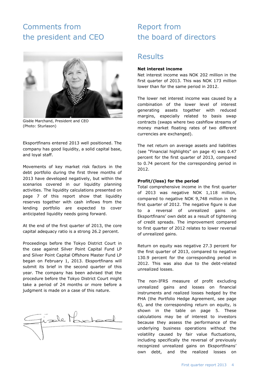# Comments from the president and CEO



Gisèle Marchand, President and CEO (Photo: Sturlason)

Eksportfinans entered 2013 well positioned. The company has good liquidity, a solid capital base, and loyal staff.

Movements of key market risk factors in the debt portfolio during the first three months of 2013 have developed negatively, but within the scenarios covered in our liquidity planning activities. The liquidity calculations presented on page 7 of this report show that liquidity reserves together with cash inflows from the lending portfolio are expected to cover anticipated liquidity needs going forward.

At the end of the first quarter of 2013, the core capital adequacy ratio is a strong 26.2 percent.

Proceedings before the Tokyo District Court in the case against Silver Point Capital Fund LP and Silver Point Capital Offshore Master Fund LP began on February 1, 2013. Eksportfinans will submit its brief in the second quarter of this year. The company has been advised that the procedure before the Tokyo District Court might take a period of 24 months or more before a judgment is made on a case of this nature.



# Report from the board of directors

## Results

## **Net interest income**

Net interest income was NOK 202 million in the first quarter of 2013. This was NOK 173 million lower than for the same period in 2012.

The lower net interest income was caused by a combination of the lower level of interest generating assets together with reduced margins, especially related to basis swap contracts (swaps where two cashflow streams of money market floating rates of two different currencies are exchanged).

The net return on average assets and liabilities (see "Financial highlights" on page 4) was 0.47 percent for the first quarter of 2013, compared to 0.74 percent for the corresponding period in 2012.

## **Profit/(loss) for the period**

Total comprehensive income in the first quarter of 2013 was negative NOK 1,118 million, compared to negative NOK 9,748 million in the first quarter of 2012. The negative figure is due to a reversal of unrealized gains on Eksportfinans' own debt as a result of tightening of credit spreads. The improvement compared to first quarter of 2012 relates to lower reversal of unrealized gains.

Return on equity was negative 27.3 percent for the first quarter of 2013, compared to negative 130.9 percent for the corresponding period in 2012. This was also due to the debt-related unrealized losses.

The non-IFRS measure of profit excluding unrealized gains and losses on financial instruments and realized losses hedged by the PHA (the Portfolio Hedge Agreement, see page 6), and the corresponding return on equity, is shown in the table on page 5. These calculations may be of interest to investors because they assess the performance of the underlying business operations without the volatility caused by fair value fluctuations, including specifically the reversal of previously recognized unrealized gains on Eksportfinans' own debt, and the realized losses on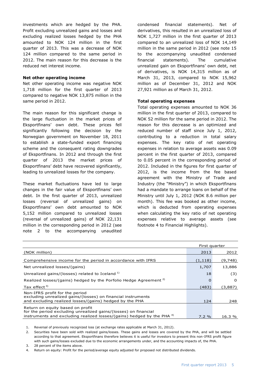investments which are hedged by the PHA. Profit excluding unrealized gains and losses and excluding realized losses hedged by the PHA amounted to NOK 124 million in the first quarter of 2013. This was a decrease of NOK 124 million compared to the same period in 2012. The main reason for this decrease is the reduced net interest income.

### **Net other operating income**

Net other operating income was negative NOK 1,718 million for the first quarter of 2013 compared to negative NOK 13,875 million in the same period in 2012.

The main reason for this significant change is the large fluctuation in the market prices of Eksportfinans' own debt. These prices fell significantly following the decision by the Norwegian government on November 18, 2011 to establish a state-funded export financing scheme and the consequent rating downgrades of Eksportfinans. In 2012 and through the first quarter of 2013 the market prices of Eksportfinans' debt have recovered significantly, leading to unrealized losses for the company.

These market fluctuations have led to large changes in the fair value of Eksportfinans' own debt. In the first quarter of 2013, unrealized losses (reversal of unrealized gains) on Eksportfinans' own debt amounted to NOK 5,152 million compared to unrealized losses (reversal of unrealized gains) of NOK 22,131 million in the corresponding period in 2012 (see note 2 to the accompanying unaudited

condensed financial statements). Net of derivatives, this resulted in an unrealized loss of NOK 1,727 million in the first quarter of 2013 compared to an unrealized loss of NOK 14,149 million in the same period in 2012 (see note 15 to the accompanying unaudited condensed financial statements). The cumulative unrealized gain on Eksportfinans' own debt, net of derivatives, is NOK 14,315 million as of March 31, 2013, compared to NOK 15,962 million as of December 31, 2012 and NOK 27,921 million as of March 31, 2012.

## **Total operating expenses**

Total operating expenses amounted to NOK 36 million in the first quarter of 2013, compared to NOK 52 million for the same period in 2012. The reason for this decrease is an optimized and reduced number of staff since July 1, 2012, contributing to a reduction in total salary expenses. The key ratio of net operating expenses in relation to average assets was 0.09 percent in the first quarter of 2013, compared to 0.05 percent in the corresponding period of 2012. Included in the figures for first quarter of 2012, is the income from the fee based agreement with the Ministry of Trade and Industry (the "Ministry") in which Eksportfinans had a mandate to arrange loans on behalf of the Ministry until July 1, 2012 (NOK 8.6 million per month). This fee was booked as other income, which is deducted from operating expenses when calculating the key ratio of net operating expenses relative to average assets (see footnote 4 to Financial Highlights).

|                                                                                                | First quarter |          |
|------------------------------------------------------------------------------------------------|---------------|----------|
| (NOK million)                                                                                  | 2013          | 2012     |
| Comprehensive income for the period in accordance with IFRS                                    | (1, 118)      | (9,748)  |
| Net unrealized losses/(gains)                                                                  | 1,707         | 13,886   |
| Unrealized gains/(losses) related to Iceland <sup>1)</sup>                                     | 18            | (3)      |
| Realized losses/(gains) hedged by the Porfolio Hedge Agreement <sup>2)</sup>                   | O             | $\Omega$ |
| Tax effect $3$                                                                                 | (483)         | (3,887)  |
| Non-IFRS profit for the period<br>excluding unrealized gains/(losses) on financial instruments |               |          |
| and excluding realized losses/(gains) hedged by the PHA                                        | 124           | 248      |
| Return on equity based on profit                                                               |               |          |
| for the period excluding unrealized gains/(losses) on financial                                |               |          |
| instruments and excluding realized losses/(gains) hedged by the PHA 4)                         | 7.2%          | 16.3 %   |

1. Reversal of previously recognized loss (at exchange rates applicable at March 31, 2012).

2. Securities have been sold with realized gains/losses. These gains and losses are covered by the PHA, and will be settled according to that agreement. Eksportfinans therefore believes it is useful for investors to present this non-IFRS profit figure with such gains/losses excluded due to the economic arrangements under, and the accounting impacts of, the PHA.

3. 28 percent of the items above.

4. Return on equity: Profit for the period/average equity adjusted for proposed not distributed dividends.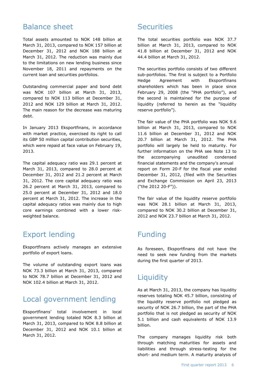## Balance sheet

Total assets amounted to NOK 148 billion at March 31, 2013, compared to NOK 157 billion at December 31, 2012 and NOK 188 billion at March 31, 2012. The reduction was mainly due to the limitations on new lending business since November 18, 2011 and repayments on the current loan and securities portfolios.

Outstanding commercial paper and bond debt was NOK 107 billion at March 31, 2013, compared to NOK 113 billion at December 31, 2012 and NOK 129 billion at March 31, 2012. The main reason for the decrease was maturing debt.

In January 2013 Eksportfinans, in accordance with market practice, exercised its right to call its GBP 50 million capital contribution securities, which were repaid at face value on February 19, 2013.

The capital adequacy ratio was 29.1 percent at March 31, 2013, compared to 28.0 percent at December 31, 2012 and 21.2 percent at March 31, 2012. The core capital adequacy ratio was 26.2 percent at March 31, 2013, compared to 25.0 percent at December 31, 2012 and 18.0 percent at March 31, 2012. The increase in the capital adequacy ratios was mainly due to high core earnings combined with a lower riskweighted balance.

# Export lending

Eksportfinans actively manages an extensive portfolio of export loans.

The volume of outstanding export loans was NOK 73.3 billion at March 31, 2013, compared to NOK 78.7 billion at December 31, 2012 and NOK 102.4 billion at March 31, 2012.

## Local government lending

Eksportfinans' total involvement in local government lending totaled NOK 8.3 billion at March 31, 2013, compared to NOK 8.8 billion at December 31, 2012 and NOK 10.1 billion at March 31, 2012.

## **Securities**

The total securities portfolio was NOK 37.7 billion at March 31, 2013, compared to NOK 41.8 billion at December 31, 2012 and NOK 44.4 billion at March 31, 2012.

The securities portfolio consists of two different sub-portfolios. The first is subject to a Portfolio Hedge Agreement with Eksportfinans shareholders which has been in place since February 29, 2008 (the "PHA portfolio"), and the second is maintained for the purpose of liquidity (referred to herein as the "liquidity reserve portfolio").

The fair value of the PHA portfolio was NOK 9.6 billion at March 31, 2013, compared to NOK 11.6 billion at December 31, 2012 and NOK 20.7 billion at March 31, 2012. The PHA portfolio will largely be held to maturity. For further information on the PHA see Note 13 to the accompanying unaudited condensed financial statements and the company's annual report on Form 20-F for the fiscal year ended December 31, 2012, (filed with the Securities and Exchange Commission on April 23, 2013 ("the 2012 20-F")).

The fair value of the liquidity reserve portfolio was NOK 28.1 billion at March 31, 2013, compared to NOK 30.2 billion at December 31, 2012 and NOK 23.7 billion at March 31, 2012.

# Funding

As foreseen, Eksportfinans did not have the need to seek new funding from the markets during the first quarter of 2013.

# **Liquidity**

As at March 31, 2013, the company has liquidity reserves totaling NOK 45.7 billion, consisting of the liquidity reserve portfolio not pledged as security of NOK 26.7 billion, the part of the PHA portfolio that is not pledged as security of NOK 5.1 billion and cash equivalents of NOK 13.9 billion.

The company manages liquidity risk both through matching maturities for assets and liabilities and through stress-testing for the short- and medium term. A maturity analysis of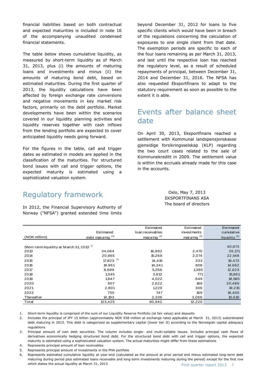financial liabilities based on both contractual and expected maturities is included in note 16 of the accompanying unaudited condensed financial statements.

The table below shows cumulative liquidity, as measured by short-term liquidity as of March 31, 2013, plus (i) the amounts of maturing loans and investments and minus (ii) the amounts of maturing bond debt, based on estimated maturities. During the first quarter of 2013, the liquidity calculations have been affected by foreign exchange rate conversions and negative movements in key market risk factors, primarily on the debt portfolio. Market developments have been within the scenarios covered in our liquidity planning activities and liquidity reserves together with cash inflows from the lending portfolio are expected to cover anticipated liquidity needs going forward.

For the figures in the table, call and trigger dates as estimated in models are applied in the classification of the maturities. For structured bond issues with call and trigger options, the expected maturity is estimated using a sophisticated valuation system.

beyond December 31, 2012 for loans to five specific clients which would have been in breach of the regulations concerning the calculation of exposures to one single client from that date. The exemption periods are specific to each of the four loans remaining as per March 31, 2013, and last until the respective loan has reached the regulatory level, as a result of scheduled repayments of principal, between December 31, 2014 and December 31, 2016. The NFSA has also requested Eksportfinans to adapt to the statutory requirement as soon as possible to the extent it is able.

# Events after balance sheet date

On April 30, 2013, Eksportfinans reached a settlement with Kommunal landspensjonskasse gjensidige forsikringsselskap (KLP) regarding the two court cases related to the sale of Kommunekreditt in 2009. The settlement value is within the accruals already made for this case in the accounts.

# Regulatory framework

In 2012, the Financial Supervisory Authority of Norway ("NFSA") granted extended time limits

## Oslo, May 7, 2013 EKSPORTFINANS ASA The board of directors

|                                                       |                              | Estimated        | Estimated      | <b>Estimated</b>         |
|-------------------------------------------------------|------------------------------|------------------|----------------|--------------------------|
|                                                       | Estimated                    | loan receivables | invest ments   | cumulative               |
| (NOK million)                                         | debt maturing <sup>(3)</sup> | maturing $(4)$   | maturing $(5)$ | liquidity <sup>(6)</sup> |
|                                                       |                              |                  |                |                          |
| Short-term liquidity at M arch 31, 2013 <sup>1)</sup> |                              |                  |                | 40,873                   |
| 2013                                                  | 34,064                       | 16,892           | 2,470          | 26,171                   |
| 2014                                                  | 20,965                       | 15,269           | 2,074          | 22,548                   |
| 2015                                                  | 17,823 $^{2}$                | 14,415           | 333            | 19,473                   |
| 2016                                                  | 19,961                       | 14,341           | 808            | 14,662                   |
| 2017                                                  | 8,689                        | 5,266            | 1,385          | 12,623                   |
| 2018                                                  | 1,345                        | 3,812            | 771            | 15,861                   |
| 2019                                                  | 1,947                        | 4,022            | 649            | 18,585                   |
| 2020                                                  | 907                          | 2,622            | 189            | 20,489                   |
| 2021                                                  | 2,801                        | 1,220            | 306            | 19,215                   |
| 2022                                                  | 730                          | 747              | 169            | 19,400                   |
| Thereafter                                            | 14,193                       | 2,336            | 3,066          | 10,610                   |
| Total                                                 | 123,425                      | 80,942           | 12,220         |                          |

1. Short-term liquidity is comprised of the sum of our Liquidity Reserve Portfolio (at fair value) and deposits

2. Includes the principal of JPY 15 billion (approximately NOK 938 million at exchange rates applicable at March 31, 2013) subordinated debt maturing in 2015. This debt is categorized as supplementary capital (lower tier II) according to the Norwegian capital adequacy regulations

3. Principal amount of own debt securities. The column includes single- and multi-callable issues. Includes principal cash flows of derivatives economically hedging structured bond debt. For the structured bond debt with call and trigger options, the expected maturity is estimated using a sophisticated valuation system. The actual maturities might differ from these estimations

4. Represents principal amount of loan receivables

5. Represents principal amount of investments in the PHA portfolio

First quarter report 2013 7 6. Represents estimated cumulative liquidity at year-end (calculated as the amount at prior period end minus estimated long-term debt maturing during period plus estimated loans receivable and long-term investments maturing during the period) except for the first row which states the actual liquidity at March 31, 2013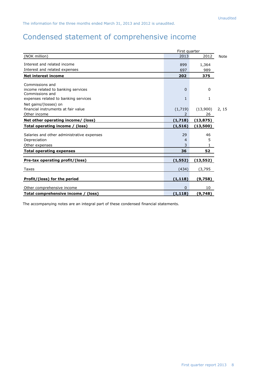# Condensed statement of comprehensive income

|                                                       | First quarter |           |       |
|-------------------------------------------------------|---------------|-----------|-------|
| (NOK million)                                         | 2013          | 2012      | Note  |
| Interest and related income                           | 899           | 1,364     |       |
| Interest and related expenses                         | 697           | 989       |       |
| <b>Net interest income</b>                            | 202           | 375       |       |
| Commissions and                                       |               |           |       |
| income related to banking services<br>Commissions and | $\mathbf 0$   | 0         |       |
| expenses related to banking services                  | $\mathbf{1}$  | 1         |       |
| Net gains/(losses) on                                 |               |           |       |
| financial instruments at fair value                   | (1, 719)      | (13,900)  | 2, 15 |
| Other income                                          |               | 26        |       |
| Net other operating income/ (loss)                    | (1,718)       | (13, 875) |       |
| Total operating income / (loss)                       | (1, 516)      | (13,500)  |       |
| Salaries and other administrative expenses            | 29            | 46        |       |
| Depreciation                                          | 4             | 5         |       |
| Other expenses                                        | 3             | 1         |       |
| <b>Total operating expenses</b>                       | 36            | 52        |       |
|                                                       |               |           |       |
| Pre-tax operating profit/(loss)                       | (1, 552)      | (13, 552) |       |
| Taxes                                                 | (434)         | (3,795    |       |
| Profit/(loss) for the period                          | (1, 118)      | (9,758)   |       |
| Other comprehensive income                            | 0             | 10        |       |
| Total comprehensive income / (loss)                   | (1, 118)      | (9,748)   |       |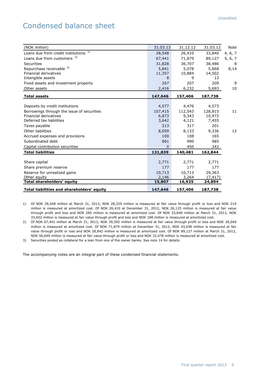# Condensed balance sheet

| (NOK million)                              | 31.03.13       | 31.12.12 | 31.03.12 | Note    |
|--------------------------------------------|----------------|----------|----------|---------|
| 1)<br>Loans due from credit institutions   | 28,548         | 26,410   | 33,840   | 4, 6, 7 |
| Loans due from customers <sup>2)</sup>     | 67,441         | 71,879   | 89,127   | 5, 6, 7 |
| Securities                                 | 31,828         | 36,707   | 38,486   | 8       |
| Repurchase receivable 3)                   | 5,841          | 5,078    | 5,868    | 8,14    |
| <b>Financial derivatives</b>               | 11,357         | 10,884   | 14,502   |         |
| Intangible assets                          | 8              | 9        | 13       |         |
| Fixed assets and investment property       | 207            | 207      | 209      | 9       |
| Other assets                               | 2,416          | 6,232    | 5,693    | 10      |
| <b>Total assets</b>                        | 147,646        | 157,406  | 187,738  |         |
|                                            |                |          |          |         |
| Deposits by credit institutions            | 4,577          | 4,476    | 4,573    |         |
| Borrowings through the issue of securities | 107,415        | 112,543  | 128,815  | 11      |
| <b>Financial derivatives</b>               | 6,873          | 9,343    | 10,972   |         |
| Deferred tax liabilities                   | 3,642          | 4,121    | 7,455    |         |
| Taxes payable                              | 213            | 317      | 201      |         |
| Other liabilities                          | 8,059          | 8,133    | 9,336    | 12      |
| Accrued expenses and provisions            | 100            | 108      | 165      |         |
| Subordinated debt                          | 961            | 990      | 985      |         |
| Capital contribution securities            | $\overline{0}$ | 450      | 342      |         |
| <b>Total liabilities</b>                   | 131,839        | 140,481  | 162,844  |         |
|                                            |                |          |          |         |
| Share capital                              | 2,771          | 2,771    | 2,771    |         |
| Share premium reserve                      | 177            | 177      | 177      |         |
| Reserve for unrealized gains               | 10,713         | 10,713   | 29,363   |         |
| Other equity                               | 2,146          | 3,264    | (7, 417) |         |
| <b>Total shareholders' equity</b>          | 15,807         | 16,925   | 24,894   |         |
| Total liabilities and shareholders' equity | 147,646        | 157,406  | 187,738  |         |

1) Of NOK 28,548 million at March 31, 2013, NOK 28,329 million is measured at fair value through profit or loss and NOK 219 million is measured at amortized cost. Of NOK 26,410 at December 31, 2012, NOK 26,125 million is measured at fair value through profit and loss and NOK 285 million is measured at amortized cost. Of NOK 33,840 million at March 31, 2012, NOK 33,652 million is measured at fair value through profit and loss and NOK 188 million is measured at amortized cost.

2) Of NOK 67,441 million at March 31, 2013, NOK 39,392 million is measured at fair value through profit or loss and NOK 28,049 million is measured at amortized cost. Of NOK 71,879 million at December 31, 2012, NOK 43,038 million is measured at fair value through profit or loss and NOK 28,842 million is measured at amortized cost. Of NOK 89,127 million at March 31, 2012, NOK 56,649 million is measured at fair value through profit or loss and NOK 32,478 million is measured at amortized cost.

3) Securities posted as collateral for a loan from one of the owner banks. See note 14 for details.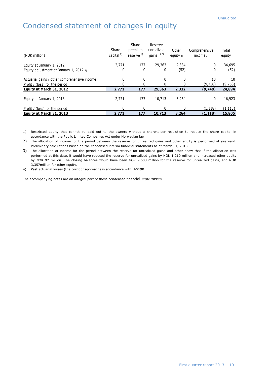# Condensed statement of changes in equity

| (NOK million)                                                                  | Share<br>capital $^{1)}$ | Share<br>premium<br>reserve $^{1)}$ | Reserve<br>unrealized<br>gains $^{1)$ 2) | Other<br>equity $2$ ) | Comprehensive<br>income $3)$ | Total<br>equity |
|--------------------------------------------------------------------------------|--------------------------|-------------------------------------|------------------------------------------|-----------------------|------------------------------|-----------------|
| Equity at January 1, 2012<br>Equity adjustment at January 1, 2012 $4$ )        | 2,771<br>0               | 177<br>0                            | 29,363<br>0                              | 2,384<br>(52)         | 0<br>0                       | 34,695<br>(52)  |
| Actuarial gains / other comprehensive income<br>Profit / (loss) for the period | 0                        | 0                                   | $\mathbf{0}$<br><sup>0</sup>             | 0                     | 10<br>(9,758)                | 10<br>(9,758)   |
| Equity at March 31, 2012                                                       | 2,771                    | 177                                 | 29,363                                   | 2,332                 | (9,748)                      | 24,894          |
| Equity at January 1, 2013                                                      | 2,771                    | 177                                 | 10,713                                   | 3,264                 | 0                            | 16,923          |
| Profit / (loss) for the period                                                 | 0                        | 0                                   | $\Omega$                                 | 0                     | (1, 118)                     | (1, 118)        |
| Equity at March 31, 2013                                                       | 2,771                    | 177                                 | 10,713                                   | 3,264                 | (1, 118)                     | 15,805          |

1) Restricted equity that cannot be paid out to the owners without a shareholder resolution to reduce the share capital in accordance with the Public Limited Companies Act under Norwegian law.

2) The allocation of income for the period between the reserve for unrealized gains and other equity is performed at year-end. Preliminary calculations based on the condensed interim financial statements as of March 31, 2013.

3) The allocation of income for the period between the reserve for unrealized gains and other show that if the allocation was performed at this date, it would have reduced the reserve for unrealized gains by NOK 1,210 million and increased other equity by NOK 92 million. The closing balances would have been NOK 9,503 million for the reserve for unrealized gains, and NOK 3,357million for other equity.

4) Past actuarial losses (the corridor approach) in accordance with IAS19R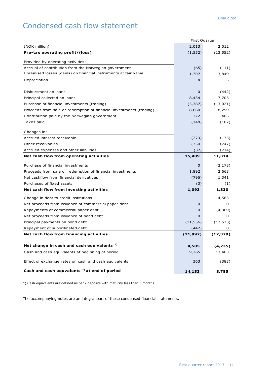# Condensed cash flow statement

|                                                                     | First Quarter |           |
|---------------------------------------------------------------------|---------------|-----------|
| (NOK million)                                                       | 2,013         | 2,012     |
| Pre-tax operating profit/(loss)                                     | (1, 552)      | (13, 552) |
| Provided by operating activities:                                   |               |           |
| Accrual of contribution from the Norwegian government               | (65)          | (111)     |
| Unrealised losses (gains) on financial instruments at fair value    | 1,707         | 13,849    |
| Depreciation                                                        | 4             | 5         |
| Disbursment on loans                                                | $\mathbf 0$   | (442)     |
| Principal collected on loans                                        | 8,434         | 7,703     |
| Purchase of financial investments (trading)                         | (5, 387)      | (13, 021) |
| Proceeds from sale or redemption of financial investments (trading) | 8,660         | 18,299    |
| Contribution paid by the Norwegian government                       | 322           | 405       |
| Taxes paid                                                          | (148)         | (187)     |
|                                                                     |               |           |
| Changes in:                                                         |               |           |
| Accrued interest receivable                                         | (279)         | (173)     |
| Other receivables                                                   | 3,750         | (747)     |
| Accrued expenses and other liabilities                              | (37)          | (714)     |
| Net cash flow from operating activities                             | 15,409        | 11,314    |
| Purchase of financial investments                                   | $\mathbf 0$   | (2, 173)  |
| Proceeds from sale or redemption of financial investments           | 1,892         | 2,663     |
| Net cashflow from financial derivatives                             | (796)         | 1,341     |
| Purchases of fixed assets                                           | (3)           | (1)       |
| Net cash flow from investing activities                             | 1,093         | 1,830     |
| Change in debt to credit institutions                               | $\mathbf{1}$  | 4,563     |
| Net proceeds from issuance of commercial paper debt                 | $\mathbf{0}$  | 0         |
| Repayments of commercial paper debt                                 | 0             | (4,369)   |
| Net proceeds from issuance of bond debt                             | 0             | 0         |
| Principal payments on bond debt                                     | (11, 556)     | (17, 573) |
| Repayment of subordinated debt                                      | (442)         | 0         |
| Net cach flow from financing activities                             | (11,997)      | (17, 379) |
| Net change in cash and cash equivalents *)                          | 4,505         | (4, 235)  |
| Cash and cash equivalents at beginning of period                    | 9,265         | 13,403    |
|                                                                     |               |           |
| Effect of exchange rates on cash and cash equivalents               | 363           | (383)     |
| Cash and cash equvalents *) at end of period                        | 14,133        | 8,785     |

\*) Cash equivalents are defined as bank deposits with maturity less than 3 months.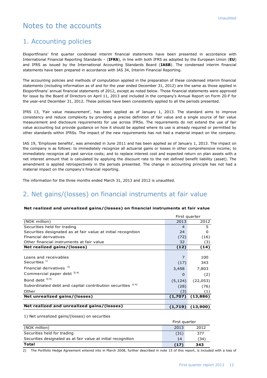# Notes to the accounts

## 1. Accounting policies

Eksportfinans' first quarter condensed interim financial statements have been presented in accordance with International Financial Reporting Standards – (**IFRS**), in line with both IFRS as adopted by the European Union (**EU**) and IFRS as issued by the International Accounting Standards Board (**IASB**). The condensed interim financial statements have been prepared in accordance with IAS 34, Interim Financial Reporting.

The accounting policies and methods of computation applied in the preparation of these condensed interim financial statements (including information as of and for the year ended December 31, 2012) are the same as those applied in Eksportfinans' annual financial statements of 2012, except as noted below. Those financial statements were approved for issue by the Board of Directors on April 11, 2013 and included in the company's Annual Report on Form 20-F for the year-end December 31, 2012. These policies have been consistently applied to all the periods presented.

IFRS 13, 'Fair value measurement', has been applied as of January 1, 2013. The standard aims to improve consistency and reduce complexity by providing a precise definition of fair value and a single source of fair value measurement and disclosure requirements for use across IFRSs. The requirements do not extend the use of fair value accounting but provide guidance on how it should be applied where its use is already required or permitted by other standards within IFRSs. The impact of the new requirements has not had a material impact on the company.

IAS 19, 'Employee benefits', was amended in June 2011 and has been applied as of January 1, 2013. The impact on the company is as follows: to immediately recognize all actuarial gains or losses in other comprehensive income; to immediately recognize all past service costs; and to replace interest cost and expected return on plan assets with a net interest amount that is calculated by applying the discount rate to the net defined benefit liability (asset). The amendment is applied retrospectively in the periods presented. The change in accounting principle has not had a material impact on the company's financial reporting.

The information for the three months ended March 31, 2013 and 2012 is unaudited.

## 2. Net gains/(losses) on financial instruments at fair value

#### **Net realized and unrealized gains/(losses) on financial instruments at fair value**

|                                                               |                | First quarter |
|---------------------------------------------------------------|----------------|---------------|
| (NOK million)                                                 | 2013           | 2012          |
| Securities held for trading                                   | $\overline{4}$ | 5             |
| Securities designated as at fair value at initial recognition | 24             | 0             |
| Financial derivatives                                         | (72)           | (16)          |
| Other financial instruments at fair value                     | 32             | (3)           |
| Net realized gains/(losses)                                   | (12)           | (14)          |
|                                                               |                |               |
| Loans and receivables                                         | 7              | 100           |
| Securities $1$                                                | (17)           | 343           |
| Financial derivatives <sup>2)</sup>                           | 3,458          | 7,803         |
| Commercial paper debt 3) 4)                                   | $\Omega$       | (2)           |
| Bond debt $^{3}$ <sup>4)</sup>                                | (5, 124)       | (22,053)      |
| Subordinated debt and capital contribution securities 3) 4)   | (28)           | (76)          |
| Other                                                         | (3)            | (1)           |
| Net unrealized gains/(losses)                                 | (1,707)        | (13,886)      |
|                                                               |                |               |
| Net realized and unrealized gains/(losses)                    | (1,719)        | (13,900)      |

1) Net unrealized gains/(losses) on securities

|                                                               | First quarter |      |  |
|---------------------------------------------------------------|---------------|------|--|
| (NOK million)                                                 | 2013          | 2012 |  |
| Securities held for trading                                   | (31)          | 377  |  |
| Securities designated as at fair value at initial recognition | 14            | (34) |  |
| <b>Total</b>                                                  | (17)          | 343  |  |

2) The Portfolio Hedge Agreement entered into in March 2008, further described in note 15 of this report, is included with a loss of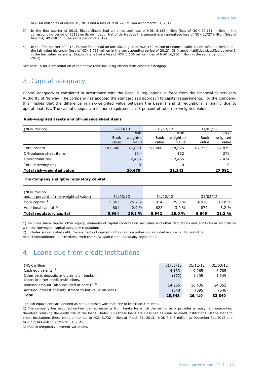NOK 60 million as of March 31, 2013 and a loss of NOK 278 million as of March 31, 2012.

- 3) In the first quarter of 2013, Eksportfinans had an unrealized loss of NOK 5,152 million (loss of NOK 22,131 million in the corresponding period of 2012) on its own debt. Net of derivatives this amount is an unrealized loss of NOK 1,727 million (loss of NOK 14,149 million in the same period of 2012).
- 4) In the first quarter of 2013, Eksportfinans had an unrealized gain of NOK 162 million of financial liabilities classified as level 2 in the fair value hierarchy (loss of NOK 5,766 million in the corresponding period of 2012). Of financial liabilities classified as level 3 in the fair value hierarchy, Eksportfinans had a loss of NOK 5,186 million (loss of NOK 16,250 million in the same period of 2012).

See note 15 for a presentation of the above table including effects from economic hedging.

# 3. Capital adequacy

Capital adequacy is calculated in accordance with the Basel II regulations in force from the Financial Supervisory Authority of Norway. The company has adopted the standardized approach to capital requirements. For the company, this implies that the difference in risk-weighted value between the Basel I and II regulations is mainly due to operational risk. The capital adequacy minimum requirement is 8 percent of total risk-weighted value.

#### **Risk-weighted assets and off-balance sheet items**

| (NOK million)             | 31/03/13    |          | 31/12/12    |          | 31/03/12    |          |
|---------------------------|-------------|----------|-------------|----------|-------------|----------|
|                           |             | Risk-    |             | Risk-    |             | Risk-    |
|                           | <b>Book</b> | weighted | <b>Book</b> | weighted | <b>Book</b> | weighted |
|                           | value       | value    | value       | value    | value       | value    |
| Total assets              | 147,646     | 17,860   | 157,406     | 18,626   | 187,738     | 24,879   |
| Off-balance sheet items   |             | 154      |             | 152      |             | 278      |
| Operational risk          |             | 2,465    |             | 2,465    |             | 2,424    |
| Total currency risk       |             | 0        |             | 0        |             | 0        |
| Total risk-weighted value |             | 20,479   |             | 21,243   |             | 27,581   |

#### **The Company's eligible regulatory capital**

| (NOK million<br>and in percent of risk-weighted value) | 31/03/13 |       | 31/12/12 |       | 31/03/12 |        |
|--------------------------------------------------------|----------|-------|----------|-------|----------|--------|
| Core capital $1$                                       | 5,363    | 26.2% | 5,314    | 25.0% | 4,970    | 18.0 % |
| Additional capital <sup>2)</sup>                       | 601      | 2.9%  | 628      | 3.0%  | 879      | 3.2%   |
| Total regulatory capital                               | 5,964    | 29.1% | 5,942    | 28.0% | 5,849    | 21.2%  |

1) Includes share capital, other equity, elements of capital contribution securities and other deductions and additions in accordance with the Norwegian capital adequacy regulations.

2) Includes subordinated debt, the elements of capital contribution securities not included in core capital and other

deductions/additions in accordance with the Norwegian capital adequacy regulations.

## 4. Loans due from credit institutions

| (NOK million)                                                                                | 31/03/13 | 31/12/12 | 31/03/12 |
|----------------------------------------------------------------------------------------------|----------|----------|----------|
| Cash equivalents <sup>1)</sup>                                                               | 14,133   | 9,265    | 8,785    |
| Other bank deposits and claims on banks <sup>3)</sup><br>Loans to other credit institutions, | (172)    | 1.105    | 1,249    |
| nominal amount (also included in note 6) $^{2}$ )                                            | 14,935   | 16,435   | 24,352   |
| Accrued interest and adjustment to fair value on loans                                       | (348)    | (395)    | (546)    |
| <b>Total</b>                                                                                 | 28,548   | 26,410   | 33,840   |

1) Cash equivalents are defined as bank deposits with maturity of less than 3 months.

2) The company has acquired certain loan agreements from banks for which the selling bank provides a repayment guarantee, therefore retaining the credit risk of the loans. Under IFRS these loans are classified as loans to credit institutions. Of the loans to credit institutions these loans amounted to NOK 6,732 million at March 31, 2013, NOK 7,648 million at December 31, 2012 and NOK 12,343 million at March 31, 2012.

3) Due to temporary payment variations.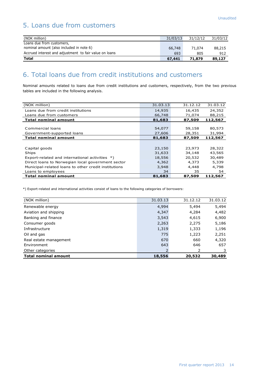# 5. Loans due from customers

| (NOK million)                                          | 31/03/13 | 31/12/12 | 31/03/12 |
|--------------------------------------------------------|----------|----------|----------|
| Loans due from customers,                              |          |          |          |
| nominal amount (also included in note 6)               | 66,748   | 71.074   | 88,215   |
| Accrued interest and adjustment to fair value on loans | 693      | 805      | 912      |
| <b>Total</b>                                           | 67,441   | 71.879   | 89,127   |

## 6. Total loans due from credit institutions and customers

Nominal amounts related to loans due from credit institutions and customers, respectively, from the two previous tables are included in the following analysis.

| (NOK million)                                        | 31.03.13 | 31.12.12 | 31.03.12 |
|------------------------------------------------------|----------|----------|----------|
| Loans due from credit institutions                   | 14,935   | 16,435   | 24,352   |
| Loans due from customers                             | 66,748   | 71,074   | 88,215   |
| <b>Total nominal amount</b>                          | 81,683   | 87,509   | 112,567  |
|                                                      |          |          |          |
| Commercial loans                                     | 54,077   | 59,158   | 80,573   |
| Government-supported loans                           | 27,606   | 28,351   | 31,994   |
| <b>Total nominal amount</b>                          | 81,683   | 87,509   | 112,567  |
|                                                      |          |          |          |
| Capital goods                                        | 23,150   | 23,973   | 28,322   |
| Ships                                                | 31,633   | 34,148   | 43,565   |
| Export-related and international activities *)       | 18,556   | 20,532   | 30,489   |
| Direct loans to Norwegian local government sector    | 4,362    | 4,373    | 5,339    |
| Municipal-related loans to other credit institutions | 3,948    | 4,448    | 4,798    |
| Loans to employees                                   | 34       | 35       | 54       |
| <b>Total nominal amount</b>                          | 81,683   | 87,509   | 112,567  |

\*) Export-related and international activities consist of loans to the following categories of borrowers:

| (NOK million)               | 31.03.13 | 31.12.12 | 31.03.12 |
|-----------------------------|----------|----------|----------|
| Renewable energy            | 4,994    | 5,494    | 5,494    |
| Aviation and shipping       | 4,347    | 4,284    | 4,482    |
| Banking and finance         | 3,543    | 4,615    | 6,900    |
| Consumer goods              | 2,263    | 2,275    | 5,186    |
| Infrastructure              | 1,319    | 1,333    | 1,196    |
| Oil and gas                 | 775      | 1,223    | 2,251    |
| Real estate management      | 670      | 660      | 4,320    |
| Environment                 | 643      | 646      | 657      |
| Other categories            |          | 2        |          |
| <b>Total nominal amount</b> | 18,556   | 20,532   | 30,489   |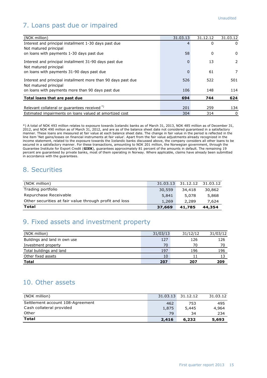# 7. Loans past due or impaired

| (NOK million)                                                                          | 31.03.13 | 31.12.12 | 31.03.12 |
|----------------------------------------------------------------------------------------|----------|----------|----------|
| Interest and principal installment 1-30 days past due                                  |          | $\Omega$ | $\Omega$ |
| Not matured principal                                                                  |          |          |          |
| on loans with payments 1-30 days past due                                              | 58       | 0        | $\Omega$ |
| Interest and principal installment 31-90 days past due<br>Not matured principal        | 0        | 13       | 2        |
| on loans with payments 31-90 days past due                                             | ŋ        | 61       | 7        |
| Interest and principal installment more than 90 days past due<br>Not matured principal | 526      | 522      | 501      |
| on loans with payments more than 90 days past due                                      | 106      | 148      | 114      |
| Total loans that are past due                                                          | 694      | 744      | 624      |
|                                                                                        |          |          |          |
| Relevant collateral or guarantees received <sup>*)</sup>                               | 201      | 259      | 134      |
| Estimated impairments on loans valued at amortized cost                                | 304      | 314      | 0        |

\*) A total of NOK 493 million relates to exposure towards Icelandic banks as of March 31, 2013, NOK 485 million as of December 31, 2012, and NOK 490 million as of March 31, 2012, and are as of the balance sheet date not considered guaranteed in a satisfactory manner. These loans are measured at fair value at each balance sheet date. The change in fair value in the period is reflected in the line item 'Net gains/losses on financial instruments at fair value'. Apart from the fair value adjustments already recognized in the income statement, related to the exposure towards the Icelandic banks discussed above, the company considers all other loans to be secured in a satisfactory manner. For these transactions, amounting to NOK 201 million, the Norwegian government, through the Guarantee Institute for Export Credit (**GIEK**), guarantees approximately 81 percent of the amounts in default. The remaining 19 percent are guaranteed by private banks, most of them operating in Norway. Where applicable, claims have already been submitted in accordance with the guarantees.

## 8. Securities

| (NOK million)                                          | 31.03.13 | 31.12.12 31.03.12 |        |
|--------------------------------------------------------|----------|-------------------|--------|
| Trading portfolio                                      | 30,559   | 34,418            | 30,862 |
| Repurchase Receivable                                  | 5,841    | 5,078             | 5,868  |
| Other securities at fair value through profit and loss | 1,269    | 2,289             | 7,624  |
| Total                                                  | 37,669   | 41,785            | 44,354 |

## 9. Fixed assets and investment property

| (NOK million)                 | 31/03/13 | 31/12/12 | 31/03/12 |
|-------------------------------|----------|----------|----------|
| Buildings and land in own use | 127      | 126      | 126      |
| Investment property           | 70       | 70       | 70       |
| Total buildings and land      | 197      | 196      | 196      |
| Other fixed assets            | 10       |          |          |
| <b>Total</b>                  | 207      | 207      | 209      |

## 10. Other assets

| (NOK million)                    | 31.03.13 | 31.12.12 | 31.03.12 |
|----------------------------------|----------|----------|----------|
| Settlement account 108-Agreement | 462      | 753      | 495      |
| Cash collateral provided         | 1,875    | 5,445    | 4,964    |
| Other                            | 79       | 34       | 234      |
| <b>Total</b>                     | 2,416    | 6,232    | 5,693    |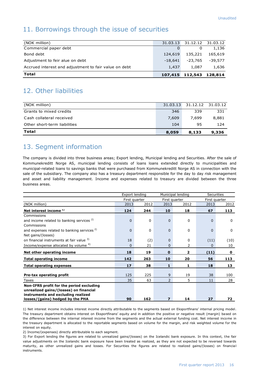## 11. Borrowings through the issue of securities

| Total                                                 |           | 107,415 112,543 128,814    |           |
|-------------------------------------------------------|-----------|----------------------------|-----------|
| Accrued interest and adjustment to fair value on debt | 1,437     | 1,087                      | 1,636     |
| Adjustment to feir alue on debt                       | $-18.641$ | -23.765                    | $-39.577$ |
| Bond debt                                             | 124,619   | 135,221                    | 165,619   |
| Commercial paper debt                                 | 0         | 0                          | 1,136     |
| (NOK million)                                         |           | 31.03.13 31.12.12 31.03.12 |           |
|                                                       |           |                            |           |

## 12. Other liabilities

| (NOK million)                |       | 31.03.13 31.12.12 31.03.12 |       |
|------------------------------|-------|----------------------------|-------|
| Grants to mixed credits      | 346   | 339                        | 331   |
| Cash collateral received     | 7,609 | 7,699                      | 8,881 |
| Other short-term liabilities | 104   | 95                         | 124   |
| Total                        | 8,059 | 8,133                      | 9,336 |

## 13. Segment information

The company is divided into three business areas; Export lending, Municipal lending and Securities. After the sale of Kommunekreditt Norge AS, municipal lending consists of loans loans extended directly to municipalities and municipal-related loans to savings banks that were purchased from Kommunekreditt Norge AS in connection with the sale of the subsidiary. The company also has a treasury department responsible for the day to day risk management and asset and liability management. Income and expenses related to treasury are divided between the three business areas.

|                                                        | Export lending |          |                | Municipal lending | <b>Securities</b> |               |
|--------------------------------------------------------|----------------|----------|----------------|-------------------|-------------------|---------------|
|                                                        | First quarter  |          | First quarter  |                   |                   | First quarter |
| (NOK million)                                          | 2013           | 2012     | 2013           | 2012              | 2013              | 2012          |
| Net interest income <sup>1)</sup>                      | 124            | 244      | 10             | 18                | 67                | 113           |
| Commissions                                            |                |          |                |                   |                   |               |
| and income related to banking services <sup>2)</sup>   | $\Omega$       | 0        | $\Omega$       | 0                 | 0                 | 0             |
| Commissions                                            |                |          |                |                   |                   |               |
| and expenses related to banking services <sup>2)</sup> | $\Omega$       | $\Omega$ | $\Omega$       | 0                 | $\Omega$          | $\mathbf{0}$  |
| Net gains/(losses)                                     |                |          |                |                   |                   |               |
| on financial instruments at fair value 3)              | 18             | (2)      | $\Omega$       | 0                 | (11)              | (10)          |
| Income/expense allocated by volume 4)                  | $\Omega$       | 21       | $\Omega$       | 2                 | $\Omega$          | 10            |
| Net other operating income                             | 18             | 19       | $\mathbf{0}$   | 2                 | (11)              | $\mathbf{0}$  |
| <b>Total operating income</b>                          | 142            | 263      | 10             | 20                | 56                | 113           |
| <b>Total operating expenses</b>                        | 17             | 38       | $\mathbf{1}$   | 1                 | 18                | 13            |
|                                                        |                |          |                |                   |                   |               |
| Pre-tax operating profit                               | 125            | 225      | 9              | 19                | 38                | 100           |
| Taxes                                                  | 35             | 63       | $\overline{2}$ | 5                 | 11                | 28            |
| Non-IFRS profit for the period excluding               |                |          |                |                   |                   |               |
| unrealized gains/(losses) on financial                 |                |          |                |                   |                   |               |
| instruments and excluding realized                     |                |          |                |                   |                   |               |
| losses/(gains) hedged by the PHA                       | 90             | 162      | 7              | 14                | 27                | 72            |

1) Net interest income includes interest income directly attributable to the segments based on Eksportfinans' internal pricing model. The treasury department obtains interest on Eksportfinans' equity and in addition the positive or negative result (margin) based on the difference between the internal interest income from the segments and the actual external funding cost. Net interest income in the treasury department is allocated to the reportable segments based on volume for the margin, and risk weighted volume for the interest on equity.

2) Income/(expenses) directly attributable to each segment.

3) For Export lending the figures are related to unrealized gains/(losses) on the Icelandic bank exposure. In this context, the fair value adjustments on the Icelandic bank exposure have been treated as realized, as they are not expected to be reversed towards maturity, as other unrealized gains and losses. For Securities the figures are related to realized gains/(losses) on financial instruments.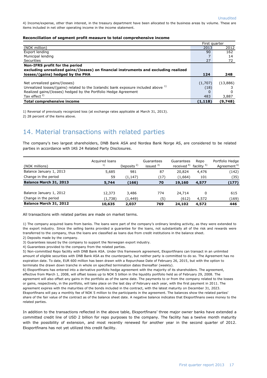4) Income/expense, other than interest, in the treasury department have been allocated to the business areas by volume. These are items included in net other operating income in the income statement.

#### **Reconciliation of segment profit measure to total comprehensive income**

|                                                                                               | First quarter |          |
|-----------------------------------------------------------------------------------------------|---------------|----------|
| (NOK million)                                                                                 | 2013          | 2012     |
| Export lending                                                                                | 90            | 162      |
| Municipal lending                                                                             |               | 14       |
| Securities                                                                                    | 27            | 72       |
| Non-IFRS profit for the period                                                                |               |          |
| excluding unrealized gains/(losses) on financial instruments and excluding realized           |               |          |
| losses/(gains) hedged by the PHA                                                              | 124           | 248      |
|                                                                                               |               |          |
| Net unrealized gains/(losses)                                                                 | (1,707)       | (13,886) |
| Unrealized losses/(gains) related to the Icelandic bank exposure included above <sup>1)</sup> | (18)          |          |
| Realized gains/(losses) hedged by the Portfolio Hedge Agreement                               |               |          |
| Tax effect <sup>2)</sup>                                                                      | 483           | 3,887    |
| <b>Total comprehensive income</b>                                                             | (1,118)       | (9,748)  |

1) Reversal of previously recognized loss (at exchange rates applicable at March 31, 2013).

2) 28 percent of the items above.

## 14. Material transactions with related parties

The company's two largest shareholders, DNB Bank ASA and Nordea Bank Norge AS, are considered to be related parties in accordance with IAS 24 Related Party Disclosures.

| (NOK millions)          | Acquired loans<br>1) | Deposits $2)$ | Guarantees<br>issued $3)$ | Guarantees<br>received $4)$ | Repo<br>facility <sup>5)</sup> | Portfolio Hedge<br>Agreement <sup>6)</sup> |
|-------------------------|----------------------|---------------|---------------------------|-----------------------------|--------------------------------|--------------------------------------------|
| Balance January 1, 2013 | 5,685                | 981           | 87                        | 20,824                      | 4,476                          | (142)                                      |
| Change in the period    | 59                   | (1, 147)      | (17)                      | (1,664)                     | 101                            | (35)                                       |
| Balance March 31, 2013  | 5,744                | (166)         | 70                        | 19,160                      | 4,577                          | (177)                                      |
|                         |                      |               |                           |                             |                                |                                            |
| Balance January 1, 2012 | 12,373               | 3,486         | 774                       | 24,714                      |                                | 615                                        |
| Change in the period    | (1,738)              | (1, 449)      | (5)                       | (612)                       | 4,572                          | (169)                                      |
| Balance March 31, 2012  | 10,635               | 2,037         | 769                       | 24,102                      | 4,572                          | 446                                        |

All transactions with related parties are made on market terms.

1) The company acquired loans from banks. The loans were part of the company's ordinary lending activity, as they were extended to the export industry. Since the selling banks provided a guarantee for the loans, not substantially all of the risk and rewards were transferred to the company, thus the loans are classified as loans due from credit institutions in the balance sheet.

2) Deposits made by the company.

3) Guarantees issued by the company to support the Norwegian export industry.

4) Guarantees provided to the company from the related parties.

5) Non-committed Repo facility with DNB Bank ASA. Under this framework agreement, Eksportfinans can transact in an unlimited amount of eligible securities with DNB Bank ASA as the counterparty, but neither party is committed to do so. The Agreement has no expiration date. To date, EUR 600 million has been drawn with a Repurchase Date of February 26, 2015, but with the option to terminate the drawn down tranche in whole on specified termination dates thereafter (weekly).

6) Eksportfinans has entered into a derivative portfolio hedge agreement with the majority of its shareholders. The agreement, effective from March 1, 2008, will offset losses up to NOK 5 billion in the liquidity portfolio held as of February 29, 2008. The agreement will also offset any gains in the portfolio as of the same date. The payments to or from the company related to the losses or gains, respectively, in the portfolio, will take place on the last day of February each year, with the first payment in 2011. The agreement expires with the maturities of the bonds included in the contract, with the latest maturity on December 31, 2023. Eksportfinans will pay a monthly fee of NOK 5 million to the participants in the agreement. The balances show the related parties' share of the fair value of the contract as of the balance sheet date. A negative balance indicates that Eksportfinans owes money to the related parties.

In addition to the transactions reflected in the above table, Eksportfinans' three major owner banks have extended a committed credit line of USD 2 billion for repo purposes to the company. The facility has a twelve month maturity with the possibility of extension, and most recently renewed for another year in the second quarter of 2012. Eksportfinans has not yet utilized this credit facility.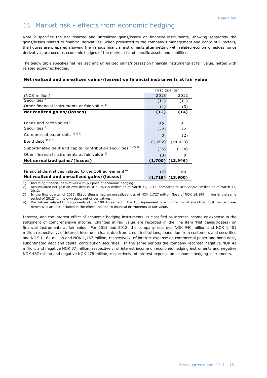## 15. Market risk - effects from economic hedging

Note 2 specifies the net realized and unrealized gains/losses on financial instruments, showing separately the gains/losses related to financial derivatives. When presented to the company's management and Board of Directors, the figures are prepared showing the various financial instruments after netting with related economic hedges, since derivatives are used as economic hedges of the market risk of specific assets and liabilities.

The below table specifies net realized and unrealized gains/(losses) on financial instruments at fair value, netted with related economic hedges.

#### **Net realized and unrealized gains/(losses) on financial instruments at fair value**

|                                                                  | First quarter |                      |
|------------------------------------------------------------------|---------------|----------------------|
| (NOK million)                                                    | 2013          | 2012                 |
| Securities <sup>1)</sup>                                         | (11)          | (11)                 |
| Other financial instruments at fair value 1)                     | (1)           | (3)                  |
| Net realized gains/(losses)                                      | (12)          | (14)                 |
|                                                                  |               |                      |
| Loans and receivables 1)                                         | 52            | 131                  |
| Securities <sup>1)</sup>                                         | (22)          | 72                   |
| Commercial paper debt 1) 2) 3)                                   | $\Omega$      | (2)                  |
| Bond debt $1)$ $2)$ $3)$                                         | (1,692)       | (14, 023)            |
| Subordinated debt and capital contribution securities 1) 2) 3)   | (35)          | (124)                |
| Other financial instruments at fair value 1)                     | (3)           | 0                    |
| Net unrealized gains/(losses)                                    |               | $(1,700)$ $(13,946)$ |
|                                                                  |               |                      |
| Financial derivatives related to the 108 agreement <sup>4)</sup> | (7)           | 60                   |
| Net realized and unrealized gains/(losses)                       |               | $(1,719)$ $(13,900)$ |

1) Including financial derivatives with purpose of economic hedging.

2) Accumulated net gain on own debt is NOK 14,315 million as of March 31, 2013, compared to NOK 27,921 million as of March 31, 2012.

3) In the first quarter of 2013, Eksportfinans had an unrealized loss of NOK 1,727 million (loss of NOK 14,149 million in the same period of 2012) on its own debt, net of derivatives.

4) Derivatives related to components of the 108 Agreement. The 108 Agreement is accounted for at amortized cost, hence these derivatives are not included in the effects related to financial instruments at fair value.

Interest, and the interest effect of economic hedging instruments, is classified as interest income or expense in the statement of comprehensive income. Changes in fair value are recorded in the line item 'Net gains/(losses) on financial instruments at fair value'. For 2013 and 2012, the company recorded NOK 940 million and NOK 1,401 million respectively, of interest income on loans due from credit institutions, loans due from customers and securities and NOK 1,164 million and NOK 1,467 million, respectively, of interest expense on commercial paper and bond debt, subordinated debt and capital contribution securities. In the same periods the company recorded negative NOK 41 million, and negative NOK 37 million, respectively, of interest income on economic hedging instruments and negative NOK 467 million and negative NOK 478 million, respectively, of interest expense on economic hedging instruments.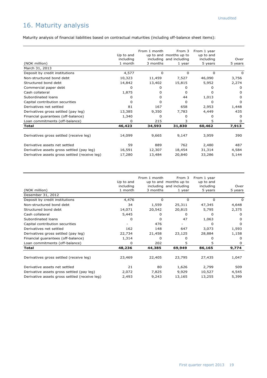# 16. Maturity analysis

Maturity analysis of financial liabilities based on contractual maturities (including off-balance sheet items):

|                                               |           | From 1 month | From 3                  | From 1 year |              |
|-----------------------------------------------|-----------|--------------|-------------------------|-------------|--------------|
|                                               | Up to and |              | up to and months up to  | up to and   |              |
|                                               | including |              | including and including | including   | Over         |
| (NOK million)                                 | 1 month   | 3 months     | 1 year                  | 5 years     | 5 years      |
| March 31, 2013                                |           |              |                         |             |              |
| Deposit by credit institutions                | 4,577     | 0            | 0                       | 0           | O            |
| Non-structured bond debt                      | 10,323    | 11,459       | 7,527                   | 46,090      | 3,756        |
| Structured bond debt                          | 14,842    | 13,402       | 15,815                  | 5,952       | 2,274        |
| Commercial paper debt                         | $\Omega$  | o            | o                       |             | O            |
| Cash collateral                               | 1,875     | 0            | O                       | o           | <sup>0</sup> |
| Subordinated loans                            | O         | 0            | 44                      | 1,013       | O            |
| Capital contribution securities               | O         | O            | 0                       | O           | O            |
| Derivatives net settled                       | 81        | 167          | 658                     | 2,953       | 1,448        |
| Derivatives gross settled (pay leg)           | 13,385    | 9,350        | 7,783                   | 4,449       | 435          |
| Financial guarantees (off-balance)            | 1,340     | 0            | O                       | o           | 0            |
| Loan commitments (off-balance)                | 0         | 215          | 3                       | 5           | 0            |
| <b>Total</b>                                  | 46,423    | 34,593       | 31,830                  | 60,462      | 7,913        |
|                                               |           |              |                         |             |              |
| Derivatives gross settled (receive leg)       | 14,099    | 9,665        | 9,147                   | 3,959       | 390          |
| Derivative assets net settled                 | 59        | 889          | 762                     | 2,480       | 487          |
| Derivative assets gross settled (pay leg)     | 16,591    | 12,307       | 18,454                  | 31,314      | 4,584        |
| Derivative assets gross settled (receive leg) | 17,280    | 13,484       | 20,840                  | 33,286      | 5,144        |

| (NOK million)                                 | Up to and<br>including<br>1 month | From 1 month<br>3 months | From 3<br>up to and months up to<br>including and including<br>1 year | From 1 year<br>up to and<br>including<br>5 years | Over<br>5 years |
|-----------------------------------------------|-----------------------------------|--------------------------|-----------------------------------------------------------------------|--------------------------------------------------|-----------------|
| Desember 31, 2012                             |                                   |                          |                                                                       |                                                  |                 |
| Deposit by credit institutions                | 4,476                             | 0                        | 0                                                                     | 0                                                | O               |
| Non-structured bond debt                      | 34                                | 1,559                    | 25,311                                                                | 47,345                                           | 4,648           |
| Structured bond debt                          | 14,071                            | 20,542                   | 20,815                                                                | 5,795                                            | 2,375           |
| Cash collateral                               | 5,445                             | 0                        | 0                                                                     | <sup>n</sup>                                     | 0               |
| Subordinated loans                            | 0                                 | 0                        | 47                                                                    | 1,063                                            | O               |
| Capital contribution securities               |                                   | 476                      |                                                                       | 0                                                | O               |
| Derivatives net settled                       | 162                               | 148                      | 647                                                                   | 3,073                                            | 1,593           |
| Derivatives gross settled (pay leg)           | 22,734                            | 21,458                   | 23,125                                                                | 28,884                                           | 1,158           |
| Financial guarantees (off-balance)            | 1,314                             | 0                        | 0                                                                     | 0                                                | 0               |
| Loan commitments (off-balance)                | $\Omega$                          | 202                      | 5                                                                     | 5                                                | O               |
| <b>Total</b>                                  | 48,236                            | 44,385                   | 69,949                                                                | 86,165                                           | 9,774           |
|                                               |                                   |                          |                                                                       |                                                  |                 |
| Derivatives gross settled (receive leg)       | 23,469                            | 22,405                   | 23,795                                                                | 27,435                                           | 1,047           |
| Derivative assets net settled                 | 21                                | 80                       | 1,626                                                                 | 2,799                                            | 509             |
| Derivative assets gross settled (pay leg)     | 2,072                             | 7,825                    | 9,929                                                                 | 10,527                                           | 4,545           |
| Derivative assets gross settled (receive leg) | 2,493                             | 9,243                    | 13,165                                                                | 13,255                                           | 5,399           |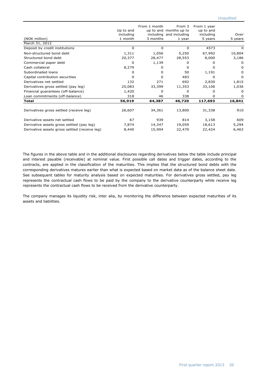| (NOK million)                                 | Up to and<br>including<br>1 month | From 1 month<br>3 months | From 3<br>up to and months up to<br>including and including<br>1 year | From 1 year<br>up to and<br>including<br>5 years | Over<br>5 years |
|-----------------------------------------------|-----------------------------------|--------------------------|-----------------------------------------------------------------------|--------------------------------------------------|-----------------|
| March 31, 2012                                |                                   |                          |                                                                       |                                                  |                 |
| Deposit by credit institutions                | 0                                 | 0                        | 0                                                                     | 4573                                             | 0               |
| Non-structured bond debt                      | 1,311                             | 1,056                    | 5,250                                                                 | 67,992                                           | 10,804          |
| Structured bond debt                          | 20,377                            | 28,477                   | 28,553                                                                | 8,000                                            | 3,186           |
| Commercial paper debt                         | 0                                 | 1,139                    | 0                                                                     | 0                                                | $\Omega$        |
| Cash collateral                               | 8,279                             | 0                        | <sup>0</sup>                                                          | 0                                                | <sup>0</sup>    |
| Subordinated loans                            | 0                                 | 0                        | 50                                                                    | 1,191                                            | 0               |
| Capital contribution securities               | <sup>0</sup>                      | <sup>0</sup>             | 483                                                                   | 0                                                | 0               |
| Derivatives net settled                       | 132                               | 271                      | 692                                                                   | 2,830                                            | 1,815           |
| Derivatives gross settled (pay leg)           | 25,083                            | 33,399                   | 11,353                                                                | 33,106                                           | 1,036           |
| Financial guarantees (off-balance)            | 1,420                             | 0                        | 0                                                                     | 0                                                | 0               |
| Loan commitments (off-balance)                | 318                               | 46                       | 338                                                                   | 0                                                | 0               |
| Total                                         | 56,919                            | 64,387                   | 46,720                                                                | 117,693                                          | 16,841          |
|                                               |                                   |                          |                                                                       |                                                  |                 |
| Derivatives gross settled (receive leg)       | 26,607                            | 34,361                   | 13,800                                                                | 31,338                                           | 910             |
| Derivative assets net settled                 | 67                                | 939                      | 814                                                                   | 3,158                                            | 609             |
| Derivative assets gross settled (pay leg)     | 7,874                             | 14,347                   | 19,059                                                                | 18,613                                           | 5,294           |
| Derivative assets gross settled (receive leg) | 8,440                             | 15,904                   | 22,470                                                                | 22,424                                           | 6,463           |

The figures in the above table and in the additional disclosures regarding derivatives below the table include principal and interest payable (receivable) at nominal value. First possible call dates and trigger dates, according to the contracts, are applied in the classification of the maturities. This implies that the structured bond debts with the corresponding derivatives matures earlier than what is expected based on market data as of the balance sheet date. See subsequent tables for maturity analysis based on expected maturities. For derivatives gross settled, pay leg represents the contractual cash flows to be paid by the company to the derivative counterparty while receive leg represents the contractual cash flows to be received from the derivative counterparty.

The company manages its liquidity risk, inter alia, by monitoring the difference between expected maturities of its assets and liabilities.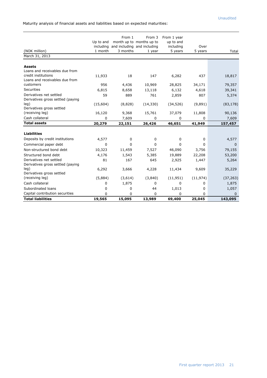Maturity analysis of financial assets and liabilities based on expected maturities:

|                                                              |                        | From 1   | From 3                                                  | From 1 year            |           |           |
|--------------------------------------------------------------|------------------------|----------|---------------------------------------------------------|------------------------|-----------|-----------|
|                                                              | Up to and<br>including |          | month up to months up to<br>and including and including | up to and<br>including | Over      |           |
| (NOK million)                                                | 1 month                | 3 months | 1 year                                                  | 5 years                | 5 years   | Total     |
| March 31, 2013                                               |                        |          |                                                         |                        |           |           |
|                                                              |                        |          |                                                         |                        |           |           |
| <b>Assets</b>                                                |                        |          |                                                         |                        |           |           |
| Loans and receivables due from                               |                        |          |                                                         |                        |           |           |
| credit institutions                                          | 11,933                 | 18       | 147                                                     | 6,282                  | 437       | 18,817    |
| Loans and receivables due from                               |                        |          |                                                         |                        |           |           |
| customers                                                    | 956                    | 4,436    | 10,969                                                  | 28,825                 | 34,171    | 79,357    |
| <b>Securities</b>                                            | 6,815                  | 8,658    | 13,118                                                  | 6,132                  | 4,618     | 39,341    |
| Derivatives net settled<br>Derivatives gross settled (paying | 59                     | 889      | 761                                                     | 2,859                  | 807       | 5,374     |
| leg)                                                         | (15,604)               | (8,828)  | (14, 330)                                               | (34, 526)              | (9,891)   | (83, 178) |
| Derivatives gross settled                                    |                        |          |                                                         |                        |           |           |
| (receiving leg)                                              | 16,120                 | 9,368    | 15,761                                                  | 37,079                 | 11,808    | 90,136    |
| Cash collateral                                              | 0                      | 7,609    | 0                                                       | 0                      | 0         | 7,609     |
| <b>Total assets</b>                                          | 20,279                 | 22,151   | 26,426                                                  | 46,651                 | 41,949    | 157,457   |
|                                                              |                        |          |                                                         |                        |           |           |
| <b>Liabilities</b>                                           |                        |          |                                                         |                        |           |           |
| Deposits by credit institutions                              | 4,577                  | 0        | 0                                                       | 0                      | 0         | 4,577     |
| Commercial paper debt                                        | $\mathbf 0$            | 0        | 0                                                       | 0                      | 0         | 0         |
| Non-structured bond debt                                     | 10,323                 | 11,459   | 7,527                                                   | 46,090                 | 3,756     | 79,155    |
| Structured bond debt                                         | 4,176                  | 1,543    | 5,385                                                   | 19,889                 | 22,208    | 53,200    |
| Derivatives net settled                                      | 81                     | 167      | 645                                                     | 2,925                  | 1,447     | 5,264     |
| Derivatives gross settled (paying                            |                        |          |                                                         |                        |           |           |
| leg)                                                         | 6,292                  | 3,666    | 4,228                                                   | 11,434                 | 9,609     | 35,229    |
| Derivatives gross settled                                    |                        |          |                                                         |                        |           |           |
| (receiving leg)                                              | (5,884)                | (3,614)  | (3,840)                                                 | (11, 951)              | (11, 974) | (37, 263) |
| Cash collateral                                              | 0                      | 1,875    | 0                                                       | 0                      | 0         | 1,875     |
| Subordinated loans                                           | 0                      | 0        | 44                                                      | 1,013                  | 0         | 1,057     |
| Capital contribution securities                              | $\Omega$               | 0        | $\Omega$                                                | 0                      | 0         | 0         |
| <b>Total liabilities</b>                                     | 19,565                 | 15,095   | 13,989                                                  | 69,400                 | 25,045    | 143,095   |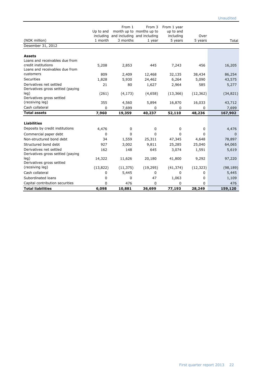| (NOK million)                                | Up to and<br>including<br>1 month | From 1<br>3 months | From 3<br>month up to months up to<br>and including and including<br>1 year | From 1 year<br>up to and<br>including<br>5 years | Over<br>5 years | Total     |
|----------------------------------------------|-----------------------------------|--------------------|-----------------------------------------------------------------------------|--------------------------------------------------|-----------------|-----------|
| Desember 31, 2012                            |                                   |                    |                                                                             |                                                  |                 |           |
| <b>Assets</b>                                |                                   |                    |                                                                             |                                                  |                 |           |
| Loans and receivables due from               |                                   |                    |                                                                             |                                                  |                 |           |
| credit institutions                          | 5,208                             | 2,853              | 445                                                                         | 7,243                                            | 456             | 16,205    |
| Loans and receivables due from               |                                   |                    |                                                                             |                                                  |                 |           |
| customers                                    | 809                               | 2,409              | 12,468                                                                      | 32,135                                           | 38,434          | 86,254    |
| Securities                                   | 1,828                             | 5,930              | 24,462                                                                      | 6,264                                            | 5,090           | 43,575    |
| Derivatives net settled                      | 21                                | 80                 | 1,627                                                                       | 2,964                                            | 585             | 5,277     |
| Derivatives gross settled (paying            |                                   |                    |                                                                             |                                                  |                 |           |
| leg)                                         | (261)                             | (4, 173)           | (4,658)                                                                     | (13, 366)                                        | (12, 362)       | (34, 821) |
| Derivatives gross settled<br>(receiving leg) | 355                               |                    |                                                                             |                                                  |                 |           |
| Cash collateral                              |                                   | 4,560              | 5,894                                                                       | 16,870                                           | 16,033          | 43,712    |
|                                              | 0                                 | 7,699              | 0                                                                           | 0                                                | 0               | 7,699     |
| <b>Total assets</b>                          | 7,960                             | 19,359             | 40,237                                                                      | 52,110                                           | 48,236          | 167,902   |
| <b>Liabilities</b>                           |                                   |                    |                                                                             |                                                  |                 |           |
| Deposits by credit institutions              | 4,476                             | 0                  | 0                                                                           | 0                                                | 0               | 4,476     |
| Commercial paper debt                        | 0                                 | $\Omega$           | $\Omega$                                                                    | $\mathbf 0$                                      | 0               | 0         |
| Non-structured bond debt                     | 34                                | 1,559              | 25,311                                                                      | 47,345                                           | 4,648           | 78,897    |
| Structured bond debt                         | 927                               | 3,002              | 9,811                                                                       | 25,285                                           | 25,040          | 64,065    |
| Derivatives net settled                      | 162                               | 148                | 645                                                                         | 3,074                                            | 1,591           | 5,619     |
| Derivatives gross settled (paying            |                                   |                    |                                                                             |                                                  |                 |           |
| leg)                                         | 14,322                            | 11,626             | 20,180                                                                      | 41,800                                           | 9,292           | 97,220    |
| Derivatives gross settled                    |                                   |                    |                                                                             |                                                  |                 |           |
| (receiving leg)                              | (13, 822)                         | (11, 375)          | (19, 295)                                                                   | (41, 374)                                        | (12, 323)       | (98, 189) |
| Cash collateral                              | 0                                 | 5,445              | 0                                                                           | 0                                                | 0               | 5,445     |
| Subordinated loans                           | 0                                 | 0                  | 47                                                                          | 1,063                                            | 0               | 1,109     |
| Capital contribution securities              | 0                                 | 476                | 0                                                                           | 0                                                | 0               | 476       |
| <b>Total liabilities</b>                     | 6,098                             | 10,881             | 36,699                                                                      | 77,193                                           | 28,249          | 159,120   |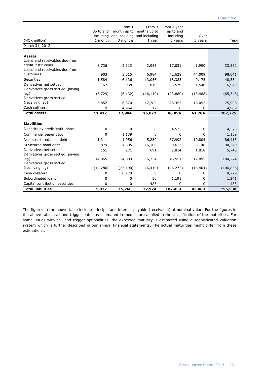| (NOK million)<br>March 31, 2012                              | Up to and<br>including<br>1 month | From 1<br>3 months | From 3<br>month up to months up to<br>and including and including<br>1 year | From 1 year<br>up to and<br>including<br>5 years | Over<br>5 years | Total      |
|--------------------------------------------------------------|-----------------------------------|--------------------|-----------------------------------------------------------------------------|--------------------------------------------------|-----------------|------------|
| <b>Assets</b>                                                |                                   |                    |                                                                             |                                                  |                 |            |
| Loans and receivables due from                               |                                   |                    |                                                                             |                                                  |                 |            |
| credit institutions<br>Loans and receivables due from        | 8,736                             | 2,113              | 3,983                                                                       | 17,031                                           | 1,990           | 33,852     |
| customers                                                    | 903                               | 3,515              | 6,984                                                                       | 42,628                                           | 44,009          | 98,041     |
| Securities                                                   | 1,584                             | 6,136              | 13,056                                                                      | 18,383                                           | 9,175           | 48,334     |
| Derivatives net settled                                      | 67                                | 938                | 819                                                                         | 3,579                                            | 1,546           | 6,949      |
| Derivatives gross settled (paying                            |                                   |                    |                                                                             |                                                  |                 |            |
| leg)                                                         | (5, 729)                          | (6, 132)           | (16, 119)                                                                   | (23, 880)                                        | (13, 488)       | (65, 348)  |
| Derivatives gross settled<br>(receiving leg)                 |                                   |                    |                                                                             |                                                  |                 |            |
| Cash collateral                                              | 5,852                             | 6,370              | 17,282                                                                      | 28,353                                           | 18,052          | 75,908     |
| <b>Total assets</b>                                          | 9                                 | 4,964              | 17                                                                          | 0                                                | 0               | 4,989      |
|                                                              | 11,422                            | 17,904             | 26,022                                                                      | 86,094                                           | 61,284          | 202,725    |
| <b>Liabilities</b>                                           |                                   |                    |                                                                             |                                                  |                 |            |
| Deposits by credit institutions                              | 0                                 | 0                  | 0                                                                           | 4,573                                            | 0               | 4,573      |
| Commercial paper debt                                        | 0                                 | 1,139              | $\Omega$                                                                    | $\Omega$                                         | 0               | 1,139      |
| Non-structured bond debt                                     | 1,311                             | 1,056              | 5,250                                                                       | 67,992                                           | 10,804          | 86,413     |
| Structured bond debt                                         | 3,879                             | 4,505              | 16,106                                                                      | 30,613                                           | 35,146          | 90,249     |
| Derivatives net settled<br>Derivatives gross settled (paying | 151                               | 271                | 691                                                                         | 2,814                                            | 1,818           | 5,745      |
| leq)<br>Derivatives gross settled                            | 14,865                            | 24,009             | 6,754                                                                       | 46,551                                           | 12,095          | 104,274    |
| (receiving leg)                                              | (14, 280)                         | (23, 490)          | (6, 410)                                                                    | (46, 275)                                        | (16, 404)       | (106, 858) |
| Cash collateral                                              | 0                                 | 8,279              | 0                                                                           | 0                                                | 0               | 8,279      |
| Subordinated loans                                           | 0                                 | $\Omega$           | 50                                                                          | 1,191                                            | 0               | 1,241      |
| Capital contribution securities                              | 0                                 | 0                  | 483                                                                         | 0                                                | 0               | 483        |
| <b>Total liabilities</b>                                     | 5,927                             | 15,768             | 22,924                                                                      | 107,459                                          | 43,460          | 195,538    |

The figures in the above table include principal and interest payable (receivable) at nominal value. For the figures in the above table, call and trigger dates as estimated in models are applied in the classification of the maturities. For some issues with call and trigger optionalities, the expected maturity is estimated using a sophisticated valuation system which is further described in our annual financial statements. The actual maturities might differ from these estimations.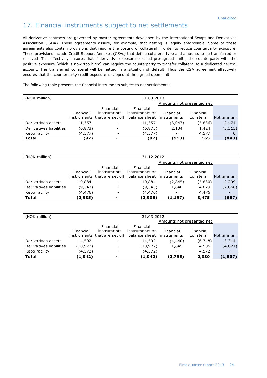## 17. Financial instruments subject to net settlements

All derivative contracts are governed by master agreements developed by the International Swaps and Derivatives Association (ISDA). These agreements assure, for example, that netting is legally enforceable. Some of these agreements also contain provisions that require the posting of collateral in order to reduce counterparty exposure. These provisions include Credit Support Annexes (CSAs) that define collateral type and amounts to be transferred or received. This effectively ensures that if derivative exposures exceed pre-agreed limits, the counterparty with the positive exposure (which is now 'too high') can require the counterparty to transfer collateral to a dedicated neutral account. The transferred collateral will be netted in a situation of default. Thus the CSA agreement effectively ensures that the counterparty credit exposure is capped at the agreed upon limit.

The following table presents the financial instruments subject to net settlements:

| (NOK million)           | 31.03.2013 |                              |                             |                           |            |            |  |
|-------------------------|------------|------------------------------|-----------------------------|---------------------------|------------|------------|--|
|                         |            |                              |                             | Amounts not presented net |            |            |  |
|                         | Financial  | Financial<br>instruments     | Financial<br>instruments on | Financial                 | Financial  |            |  |
|                         |            | instruments that are set off | balance sheet               | instruments               | collateral | Net amount |  |
| Derivatives assets      | 11,357     |                              | 11,357                      | (3,047)                   | (5,836)    | 2,474      |  |
| Derivatives liabilities | (6, 873)   |                              | (6, 873)                    | 2,134                     | 1,424      | (3,315)    |  |
| Repo facility           | (4,577)    |                              | (4,577)                     | -                         | 4,577      |            |  |
| Total                   | (92)       | ۰.                           | (92                         | (913)                     | 165        | (840)      |  |

| (NOK million)           | 31.12.2012 |                              |                |                           |            |            |  |
|-------------------------|------------|------------------------------|----------------|---------------------------|------------|------------|--|
|                         |            |                              |                | Amounts not presented net |            |            |  |
|                         |            | Financial                    | Financial      |                           |            |            |  |
|                         | Financial  | instruments                  | instruments on | Financial                 | Financial  |            |  |
|                         |            | instruments that are set off | balance sheet  | instruments               | collateral | Net amount |  |
| Derivatives assets      | 10,884     |                              | 10,884         | (2,845)                   | (5,830)    | 2,209      |  |
| Derivatives liabilities | (9, 343)   |                              | (9, 343)       | 1,648                     | 4,829      | (2,866)    |  |
| Repo facility           | (4,476)    |                              | (4,476)        | $\overline{\phantom{a}}$  | 4,476      |            |  |
| Total                   | (2,935)    | ۰                            | (2,935)        | (1,197)                   | 3,475      | (657)      |  |

| (NOK million)           | 31.03.2012 |                                                          |                                              |                           |                         |            |  |
|-------------------------|------------|----------------------------------------------------------|----------------------------------------------|---------------------------|-------------------------|------------|--|
|                         |            |                                                          |                                              | Amounts not presented net |                         |            |  |
|                         | Financial  | Financial<br>instruments<br>instruments that are set off | Financial<br>instruments on<br>balance sheet | Financial<br>instruments  | Financial<br>collateral | Net amount |  |
|                         |            |                                                          |                                              |                           |                         |            |  |
| Derivatives assets      | 14,502     |                                                          | 14,502                                       | (4,440)                   | (6,748)                 | 3,314      |  |
| Derivatives liabilities | (10,972)   |                                                          | (10, 972)                                    | 1,645                     | 4,506                   | (4,821)    |  |
| Repo facility           | (4,572)    |                                                          | (4,572)                                      |                           | 4,572                   |            |  |
| Total                   | (1,042)    | -                                                        | (1,042)                                      | (2,795)                   | 2,330                   | (1,507)    |  |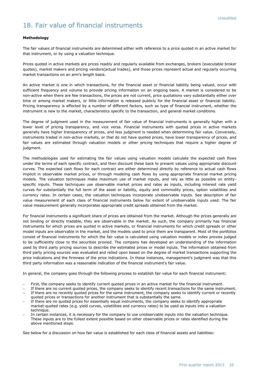## 18. Fair value of financial instruments

#### **Methodology**

The fair values of financial instruments are determined either with reference to a price quoted in an active market for that instrument, or by using a valuation technique.

Prices quoted in active markets are prices readily and regularly available from exchanges, brokers (executable broker quotes), market makers and pricing vendors(actual trades), and those prices represent actual and regularly occurring market transactions on an arm's length basis.

An active market is one in which transactions, for the financial asset or financial liability being valued, occur with sufficient frequency and volume to provide pricing information on an ongoing basis. A market is considered to be non-active when there are few transactions, the prices are not current, price quotations vary substantially either over time or among market makers, or little information is released publicly for the financial asset or financial liability. Pricing transparency is affected by a number of different factors, such as type of financial instrument, whether the instrument is new to the market, characteristics specific to the transaction, and general market conditions.

The degree of judgment used in the measurement of fair value of financial instruments is generally higher with a lower level of pricing transparency, and vice versa. Financial instruments with quoted prices in active markets generally have higher transparency of prices, and less judgment is needed when determining fair value. Conversely, instruments traded in non-active markets, or that do not have quoted prices, have lower transparency of prices, and fair values are estimated through valuation models or other pricing techniques that require a higher degree of judgment.

The methodologies used for estimating the fair values using valuation models calculate the expected cash flows under the terms of each specific contract, and then discount these back to present values using appropriate discount curves. The expected cash flows for each contract are either determined directly by reference to actual cash flows implicit in observable market prices, or through modeling cash flows by using appropriate financial market pricing models. The valuation techniques make maximum use of market inputs, and rely as little as possible on entityspecific inputs. These techniques use observable market prices and rates as inputs, including interest rate yield curves for substantially the full term of the asset or liability, equity and commodity prices, option volatilities and currency rates. In certain cases, the valuation techniques incorporate unobservable inputs. See description of fair value measurement of each class of financial instruments below for extent of unobservable inputs used. The fair value measurement generally incorporates appropriate credit spreads obtained from the market.

For financial instruments a significant share of prices are obtained from the market. Although the prices generally are not binding or directly tradable, they are observable in the market. As such, the company primarily has financial instruments for which prices are quoted in active markets, or financial instruments for which credit spreads or other model inputs are observable in the market, and the models used to price them are transparent. Most of the portfolios consist of financial instruments for which the fair value is calculated using valuation models or index proxies judged to be sufficiently close to the securities proxied. The company has developed an understanding of the information used by third party pricing sources to describe the estimated prices or model inputs. The information obtained from third party pricing sources was evaluated and relied upon based on the degree of market transactions supporting the price indications and the firmness of the price indications. In these instances, management's judgment was that this third party information was a reasonable indication of the financial instrument's fair value.

In general, the company goes through the following process to establish fair value for each financial instrument:

- First, the company seeks to identify current quoted prices in an active market for the financial instrument.
- If there are no current quoted prices, the company seeks to identify recent transactions for the same instrument. If there are no recently quoted prices for the same instrument, the company seeks to identify current or recently quoted prices or transactions for another instrument that is substantially the same.
- If there are no quoted prices for essentially equal instruments, the company seeks to identify appropriate market-quoted rates (e.g. yield curves, volatilities and currency rates) to be used as inputs into a valuation technique.
- In certain instances, it is necessary for the company to use unobservable inputs into the valuation technique. These inputs are to the fullest extent possible based on other observable prices or rates identified during the above mentioned steps.

See below for a discussion on how fair value is established for each class of financial assets and liabilities: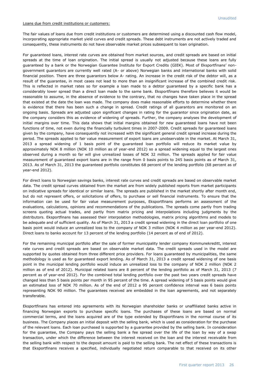#### Loans due from credit institutions or customers:

The fair values of loans due from credit institutions or customers are determined using a discounted cash flow model, incorporating appropriate market yield curves and credit spreads. These debt instruments are not actively traded and consequently, these instruments do not have observable market prices subsequent to loan origination.

For guaranteed loans, interest rate curves are obtained from market sources, and credit spreads are based on initial spreads at the time of loan origination. The initial spread is usually not adjusted because these loans are fully guaranteed by a bank or the Norwegian Guarantee Institute for Export Credits (GIEK). Most of Eksportfinans' nongovernment guarantors are currently well rated (A- or above) Norwegian banks and international banks with solid financial position. There are three guarantors below A- rating. An increase in the credit risk of the debtor will, as a result of the guarantee, in most cases not lead to more than an insignificant increase of the combined credit risk. This is reflected in market rates so for example a loan made to a debtor guaranteed by a specific bank has a considerably lower spread than a direct loan made to the same bank. Eksportfinans therefore believes it would be reasonable to assume, in the absence of evidence to the contrary, that no changes have taken place in the spread that existed at the date the loan was made. The company does make reasonable efforts to determine whether there is evidence that there has been such a change in spread. Credit ratings of all guarantors are monitored on an ongoing basis. Spreads are adjusted upon significant changes in rating for the guarantor since origination date, as the company considers this as evidence of widening of spreads. Further, the company analyses the development of initial margins over time. This data shows that initial margins obtained for new guaranteed loans have not been functions of time, not even during the financially turbulent times in 2007-2009. Credit spreads for guaranteed loans given by the company, have consequently not increased with the significant general credit spread increase during the period. The spreads applied to fair value measurement of export loans are unobservable in the market. At March 31, 2013 a spread widening of 1 basis point of the guaranteed loan portfolio will reduce its market value by approximately NOK 8 million (NOK 10 million as of year-end 2012) so a spread widening equal to the largest ones observed during a month so far will give unrealized losses of NOK 32 million. The spreads applied for fair value measurement of guaranteed export loans are in the range from 0 basis points to 245 basis points as of March 31, 2013. As of March 31, 2013 the guaranteed portfolio constitutes 68 percent of the lending portfolio (68 percent as of year-end 2012).

For direct loans to Norwegian savings banks, interest rate curves and credit spreads are based on observable market data. The credit spread curves obtained from the market are from widely published reports from market participants on indicative spreads for identical or similar loans. The spreads are published in the market shortly after month end, but do not represent offers, or solicitations of offers, to purchase or sell financial instruments. To ensure that the information can be used for fair value measurement purposes, Eksportfinans performs an assessment of the evaluations, calculations, opinions and recommendations of the publications. The spreads come partly from trading screens quoting actual trades, and partly from matrix pricing and interpolations including judgments by the distributors. Eksportfinans has assessed their interpolation methodologies, matrix pricing algorithms and models to be adequate and of sufficient quality. As of March 31, 2013 a credit spread widening in the direct loan portfolio of one basis point would induce an unrealized loss to the company of NOK 3 million (NOK 4 million as per year-end 2012). Direct loans to banks account for 13 percent of the lending portfolio (14 percent as of end of 2012).

For the remaining municipal portfolio after the sale of former municipality lender company Kommunekreditt, interest rate curves and credit spreads are based on observable market data. The credit spreads used in the model are supported by quotes obtained from three different price providers. For loans guaranteed by municipalities, the same methodology is used as for guaranteed export lending. As of March 31, 2013 a credit spread widening of one basis point in the municipal lending portfolio would induce an unrealized loss to the company of NOK 2 million (NOK 2 million as of end of 2012). Municipal related loans are 8 percent of the lending portfolio as of March 31, 2013 (7 percent as of year-end 2012). For the combined total lending portfolio over the past two years credit spreads have changed less than 5 basis points per month in 95 percent of the time. A spread widening of 5 basis points would give an estimated loss of NOK 70 million. As of the end of 2012 a 95 percent confidence interval was 6 basis points representing NOK 90 million. The guarantees received are embedded in the loan agreements, and not separately transferable.

Eksportfinans has entered into agreements with its Norwegian shareholder banks or unaffiliated banks active in financing Norwegian exports to purchase specific loans. The purchases of these loans are based on normal commercial terms, and the loans acquired are of the type extended by Eksportfinans in the normal course of its business. The Company places an initial deposit with the selling bank, which is used as consideration for the purchase of the relevant loans. Each loan purchased is supported by a guarantee provided by the selling bank. In consideration for the guarantee, the Company pays the selling bank a fee spread over the life of the loan by way of a swap transaction, under which the difference between the interest received on the loan and the interest receivable from the selling bank with respect to the deposit amount is paid to the selling bank. The net effect of these transactions is that Eksportfinans receives a specified, individually negotiated return comparable to that received on its other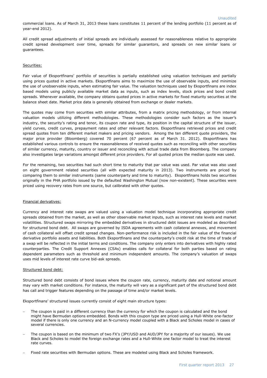commercial loans. As of March 31, 2013 these loans constitutes 11 percent of the lending portfolio (11 percent as of year-end 2012).

All credit spread adjustments of initial spreads are individually assessed for reasonableness relative to appropriate credit spread development over time, spreads for similar guarantors, and spreads on new similar loans or guarantees.

#### Securities:

Fair value of Eksportfinans' portfolio of securities is partially established using valuation techniques and partially using prices quoted in active markets. Eksportfinans aims to maximize the use of observable inputs, and minimize the use of unobservable inputs, when estimating fair value. The valuation techniques used by Eksportfinans are index based models using publicly available market data as inputs, such as index levels, stock prices and bond credit spreads. Whenever available, the company obtains quoted prices in active markets for fixed maturity securities at the balance sheet date. Market price data is generally obtained from exchange or dealer markets.

The quotes may come from securities with similar attributes, from a matrix pricing methodology, or from internal valuation models utilizing different methodologies. These methodologies consider such factors as the issuer's industry, the security's rating and tenor, its coupon rate and type, its position in the capital structure of the issuer, yield curves, credit curves, prepayment rates and other relevant factors. Eksportfinans retrieved prices and credit spread quotes from ten different market makers and pricing vendors. Among the ten different quote providers, the major price provider (Bloomberg) covered 70 percent (67 percent as of March 31. 2012). Eksportfinans has established various controls to ensure the reasonableness of received quotes such as reconciling with other securities of similar currency, maturity, country or issuer and reconciling with actual trade data from Bloomberg. The company also investigates large variations amongst different price providers. For all quoted prices the median quote was used.

For the remaining, two securities had such short time to maturity that par value was used. Par value was also used on eight government related securities (all with expected maturity in 2013). Two instruments are priced by comparing them to similar instruments (same counterparty and time to maturity). Eksportfinans holds two securities originally in the PHA portfolio issued by the defaulted Washington Mutual (now non-existent). These securities were priced using recovery rates from one source, but calibrated with other quotes.

#### Financial derivatives:

Currency and interest rate swaps are valued using a valuation model technique incorporating appropriate credit spreads obtained from the market, as well as other observable market inputs, such as interest rate levels and market volatilities. Structured swaps mirroring the embedded derivatives in structured debt issues are modeled as described for structured bond debt. All swaps are governed by ISDA agreements with cash collateral annexes, and movement of cash collateral will offset credit spread changes. Non-performance risk is included in the fair value of the financial derivative portfolio assets and liabilities. Both Eksportfinans and the counterparty's credit risk at the time of trade of a swap will be reflected in the initial terms and conditions. The company only enters into derivatives with highly rated counterparties. The Credit Support Annexes (CSAs) enables calls for collateral for both parties based on rating dependent parameters such as threshold and minimum independent amounts. The company's valuation of swaps uses mid levels of interest rate curve bid-ask spreads.

#### Structured bond debt:

Structured bond debt consists of bond issues where the coupon rate, currency, maturity date and notional amount may vary with market conditions. For instance, the maturity will vary as a significant part of the structured bond debt has call and trigger features depending on the passage of time and/or market levels.

Eksportfinans' structured issues currently consist of eight main structure types:

- The coupon is paid in a different currency than the currency for which the coupon is calculated and the bond might have Bermudan options embedded. Bonds with this coupon type are priced using a Hull-White one-factor model if there is only one currency and an N-currency model coupled with a Black and Scholes model in cases of several currencies.
- The coupon is based on the minimum of two FX's (JPY/USD and AUD/JPY for a majority of our issues). We use Black and Scholes to model the foreign exchange rates and a Hull-White one factor model to treat the interest rate curves.
- Fixed rate securities with Bermudan options. These are modeled using Black and Scholes framework.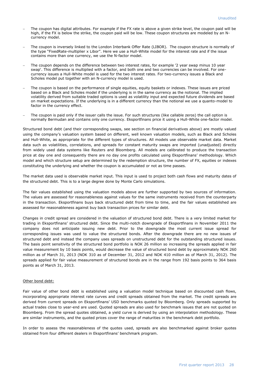- The coupon has digital attributes. For example if the FX rate is above a given strike level, the coupon paid will be high, if the FX is below the strike, the coupon paid will be low. These coupon structures are modeled by an Ncurrency model.
- The coupon is inversely linked to the London Interbank Offer Rate (LIBOR). The coupon structure is normally of the type "FixedRate-multiplier x Libor". Here we use a Hull-White model for the interest rate and if the issue contains more than one currency, we use the N-factor model.
- The coupon depends on the difference between two interest rates, for example '2 year swap minus 10 year swap'. This difference is multiplied with a factor, and both one and two currencies can be involved. For onecurrency issues a Hull-White model is used for the two interest rates. For two-currency issues a Black and Scholes model put together with an N-currency model is used.
- The coupon is based on the performance of single equities, equity baskets or indexes. These issues are priced based on a Black and Scholes model if the underlying is in the same currency as the notional. The implied volatility derived from suitable traded options is used as volatility input and expected future dividends are based on market expectations. If the underlying is in a different currency than the notional we use a quanto-model to factor in the currency effect.
- The coupon is paid only if the issuer calls the issue. For such structures (like callable zeros) the call option is normally Bermudan and contains only one currency. Eksportfinans price it using a Hull-White one-factor model.

Structured bond debt (and their corresponding swaps, see section on financial derivatives above) are mostly valued using the company's valuation system based on different, well known valuation models, such as Black and Scholes and Hull-White, as appropriate for the different types of structures. All models use observable market data. Market data such as volatilities, correlations, and spreads for constant maturity swaps are imported (unadjusted) directly from widely used data systems like Reuters and Bloomberg. All models are calibrated to produce the transaction price at day one and consequently there are no day one profits calculated using Eksportfinans' methodology. Which model and which structure setup are determined by the redemption structure, the number of FX, equities or indexes constituting the underlying and whether the coupon is accumulated or not as time passes.

The market data used is observable market input. This input is used to project both cash flows and maturity dates of the structured debt. This is to a large degree done by Monte Carlo simulations.

The fair values established using the valuation models above are further supported by two sources of information. The values are assessed for reasonableness against values for the same instruments received from the counterparty in the transaction. Eksportfinans buys back structured debt from time to time, and the fair values established are assessed for reasonableness against buy back transaction prices for similar debt.

Changes in credit spread are considered in the valuation of structured bond debt. There is a very limited market for trading in Eksportfinans' structured debt. Since the multi-notch downgrade of Eksportfinans in November 2011 the company does not anticipate issuing new debt. Prior to the downgrade the most current issue spread for corresponding issues was used to value the structured bonds. After the downgrade there are no new issues of structured debt and instead the company uses spreads on unstructured debt for the outstanding structured issues. The basis point sensitivity of the structured bond portfolio is NOK 26 million so increasing the spreads applied in fair value measurement by 10 basis points, would decrease the value of structured bond debt by approximately NOK 260 million as of March 31, 2013 (NOK 310 as of December 31, 2012 and NOK 410 million as of March 31, 2012). The spreads applied for fair value measurement of structured bonds are in the range from 192 basis points to 364 basis points as of March 31, 2013.

#### Other bond debt:

Fair value of other bond debt is established using a valuation model technique based on discounted cash flows, incorporating appropriate interest rate curves and credit spreads obtained from the market. The credit spreads are derived from current spreads on Eksportfinans' USD benchmarks quoted by Bloomberg. Only spreads supported by actual trades close to year-end are used. Quoted spreads are also used for benchmark issues that are not quoted on Bloomberg. From the spread quotes obtained, a yield curve is derived by using an interpolation methodology. These are similar instruments, and the quoted prices cover the range of maturities in the benchmark debt portfolio.

In order to assess the reasonableness of the quotes used, spreads are also benchmarked against broker quotes obtained from four different dealers in Eksportfinans' benchmark program.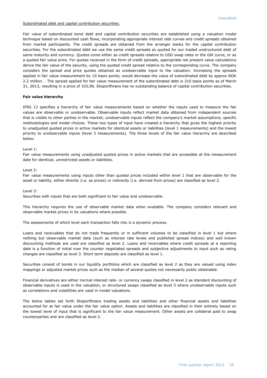#### Subordinated debt and capital contribution securities:

Fair value of subordinated bond debt and capital contribution securities are established using a valuation model technique based on discounted cash flows, incorporating appropriate interest rate curves and credit spreads obtained from market participants. The credit spreads are obtained from the arranger banks for the capital contribution securities. For the subordinated debt we use the same credit spreads as quoted for our traded unstructured debt of same maturity and currency. Quotes come either as credit spreads relative to USD swap rates or the Gilt curve, or as a quoted fair value price. For quotes received in the form of credit spreads, appropriate net present value calculations derive the fair value of the security, using the quoted credit spread relative to the corresponding curve. The company considers the spread and price quotes obtained as unobservable input to the valuation. Increasing the spreads applied in fair value measurement by 10 basis points, would decrease the value of subordinated debt by approx NOK 2.2 million. . The spread applied for fair value measurement of the subordinated debt is 310 basis points as of March 31, 2013, resulting in a price of 103,96. Eksportfinans has no outstanding balance of capital contribution securities.

#### **Fair value hierarchy**

IFRS 13 specifies a hierarchy of fair value measurements based on whether the inputs used to measure the fair values are observable or unobservable. Observable inputs reflect market data obtained from independent sources that is visible to other parties in the market; unobservable inputs reflect the company's market assumptions, specific methodologies and model choices. These two types of input have created a hierarchy that gives the highest priority to unadjusted quoted prices in active markets for identical assets or liabilities (level 1 measurements) and the lowest priority to unobservable inputs (level 3 measurements). The three levels of the fair value hierarchy are described below:

#### Level 1:

Fair value measurements using unadjusted quoted prices in active markets that are accessible at the measurement date for identical, unrestricted assets or liabilities.

#### Level 2:

Fair value measurements using inputs other than quoted prices included within level 1 that are observable for the asset or liability, either directly (i.e. as prices) or indirectly (i.e. derived from prices) are classified as level 2.

Level 3:

Securities with inputs that are both significant to fair value and unobservable.

This hierarchy requires the use of observable market data when available. The company considers relevant and observable market prices in its valuations where possible.

The assessments of which level each transaction falls into is a dynamic process.

Loans and receivables that do not trade frequently or in sufficient volumes to be classified in level 1 but where nothing but observable market data (such as interest rate levels and published spread indices) and well known discounting methods are used are classified as level 2. Loans and receivables where credit spreads at a reporting date is a function of initial over the counter negotiated spreads and subjective adjustments to input such as rating changes are classified as level 3. Short term deposits are classified as level 1.

Securities consist of bonds in our liquidity portfolios which are classified as level 2 as they are valued using index mappings or adjusted market prices such as the median of several quotes not necessarily public obtainable.

Financial derivatives are either normal interest rate- or currency swaps classified in level 2 as standard discounting of observable inputs is used in the valuation, or structured swaps classified as level 3 where unobservable inputs such as correlations and volatilities are used in model valuations.

The below tables set forth Eksportfinans trading assets and liabilities and other financial assets and liabilities accounted for at fair value under the fair value option. Assets and liabilities are classified in their entirety based on the lowest level of input that is significant to the fair value measurement. Other assets are collateral paid to swap counterparties and are classified as level 2.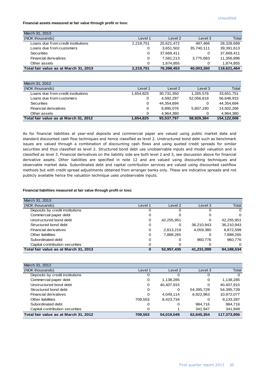**Financial assets measured at fair value through profit or loss:**

| March 31, 2013                        |           |            |            |             |
|---------------------------------------|-----------|------------|------------|-------------|
| (NOK thousands)                       | Level 1   | Level 2    | Level 3    | Total       |
| Loans due from credit institutions    | 2,219,751 | 25,621,472 | 487.466    | 28,328,689  |
| Loans due from customers              | 0         | 3.651.502  | 35.740.111 | 39,391,613  |
| <b>Securities</b>                     | 0         | 37,669,411 |            | 37.669.411  |
| Financial derivatives                 | 0         | 7.581.213  | 3,775,683  | 11,356,896  |
| Other assets                          | 0         | 1.874.855  |            | 1,874,855   |
| Total fair value as at March 31, 2013 | 2,219,751 | 76,398,453 | 40,003,260 | 118,621,464 |

| March 31, 2012                        |           |            |            |              |
|---------------------------------------|-----------|------------|------------|--------------|
| (NOK thousands)                       | Level 1   | Level 2    | Level 3    | <b>Total</b> |
| Loans due from credit institutions    | 1,654,825 | 30,731,350 | 1.265.576  | 33,651,751   |
| Loans due from customers              | 0         | 4.592.297  | 52,056,618 | 56,648,915   |
| <b>Securities</b>                     | 0         | 44.354.694 |            | 44,354,694   |
| Financial derivatives                 | 0         | 8.895.076  | 5,607,190  | 14.502.266   |
| Other assets                          | 0         | 4.964.380  |            | 4,964,380    |
| Total fair value as at March 31, 2012 | 1,654,825 | 93,537,797 | 58.929.384 | 154,122,006  |

As for financial liabilities at year-end deposits and commercial paper are valued using public market data and standard discounted cash flow techniques and hence classified as level 2. Unstructured bond debt such as benchmark issues are valued through a combination of discounting cash flows and using quoted credit spreads for similar securities and thus classified as level 2. Structured bond debt use unobservable inputs and model valuation and is classified as level 3. Financial derivatives on the liability side are both level 2 and 3, see discussion above for financial derivative assets. Other liabilities are specified in note 12 and are valued using discounting techniques and observable market data. Subordinated debt and capital contribution services are valued using discounted cashflow methods but with credit spread adjustments obtained from arranger banks only. These are indicative spreads and not publicly available hence the valuation technique uses unobservable inputs.

#### **Financial liabilities measured at fair value through profit or loss:**

| March 31, 2013                        |         |            |            |            |
|---------------------------------------|---------|------------|------------|------------|
| (NOK thousands)                       | Level 1 | Level 2    | Level 3    | Total      |
| Deposits by credit institutions       |         |            | Ω          | 0          |
| Commercial paper debt                 |         |            | Ο          | 0          |
| Unstructured bond debt                | O       | 42,255,951 | ο          | 42,255,951 |
| Structured bond debt                  |         |            | 36,210,943 | 36,210,943 |
| Financial derivatives                 | 0       | 2,813,219  | 4,059,380  | 6,872,599  |
| Other liabilities                     |         | 7,888,265  | Ω          | 7,888,265  |
| Subordinated debt                     |         |            | 960.776    | 960.776    |
| Capital contribution securities       |         |            | О          | $\Omega$   |
| Total fair value as at March 31, 2013 |         | 52,957,435 | 41,231,099 | 94,188,534 |

| March 31, 2012                        |         |                   |            |             |
|---------------------------------------|---------|-------------------|------------|-------------|
| (NOK thousands)                       | Level 1 | Level 2           | Level 3    | Total       |
| Deposits by credit institutions       | 0       | $\mathbf{\Omega}$ | O          | 0           |
| Commercial paper debt                 | 0       | 1,138,285         | 0          | 1,138,285   |
| Unstructured bond debt                | 0       | 40,407,915        | 0          | 40.407.915  |
| Structured bond debt                  | 0       | 0                 | 54,395,728 | 54,395,728  |
| Financial derivatives                 | 0       | 4.049.114         | 6,922,963  | 10,972,077  |
| Other liabilities                     | 709,553 | 8,423,734         | Ο          | 9,133,287   |
| Subordinated debt                     | Ο       |                   | 984,716    | 984,716     |
| Capital contribution securities       | 0       |                   | 341.947    | 341,948     |
| Total fair value as at March 31, 2012 | 709,553 | 54,019,049        | 62,645,354 | 117,373,956 |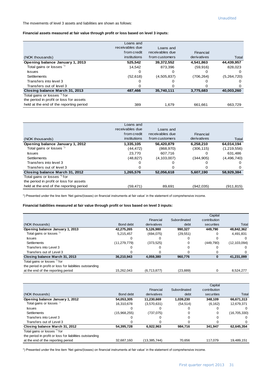The movements of level 3 assets and liabilities are shown as follows:

#### **Financial assets measured at fair value through profit or loss based on level 3 inputs:**

|                                         | Loans and<br>receivables due<br>from credit | Loans and<br>receivables due | Financial   |             |
|-----------------------------------------|---------------------------------------------|------------------------------|-------------|-------------|
| (NOK thousands)                         | institutions                                | from customers               | derivatives | Total       |
| Opening balance January 1, 2013         | 525,542                                     | 39,372,552                   | 4,541,863   | 44,439,957  |
| Total gains or losses <sup>"</sup>      | 14,542                                      | 873.396                      | (59, 916)   | 828,023     |
| <b>S</b> sues                           | 0                                           |                              | O           | 0           |
| <b>Settlements</b>                      | (52, 618)                                   | (4,505,837)                  | (706,264)   | (5,264,720) |
| Transfers into level 3                  | O                                           |                              | O           | $\Omega$    |
| Transfers out of level 3                | Ο                                           |                              | 0           | 0           |
| Closing balance March 31, 2013          | 487,466                                     | 35,740,111                   | 3,775,683   | 40,003,260  |
| Total gains or losses <sup>*</sup> for  |                                             |                              |             |             |
| the period in profit or loss for assets |                                             |                              |             |             |
| held at the end of the reporting period | 389                                         | 1.679                        | 661.661     | 663.729     |

|                                         | Loans and       |                 |             |             |
|-----------------------------------------|-----------------|-----------------|-------------|-------------|
|                                         | receivables due | Loans and       |             |             |
|                                         | from credit     | receivables due | Financial   |             |
| (NOK thousands)                         | institutions    | from customers  | derivatives | Total       |
| Opening balance January 1, 2012         | 1,335,105       | 56,420,879      | 6,258,210   | 64,014,194  |
| Total gains or losses <sup>"</sup>      | (44, 472)       | (868, 970)      | (306, 115)  | (1,219,556) |
| <b>S</b> sues                           | 23,770          | 607.716         | 0           | 631,486     |
| <b>Settlements</b>                      | (48, 827)       | (4, 103, 007)   | (344, 905)  | (4,496,740) |
| Transfers into level 3                  | 0               | O               | Ω           | 0           |
| Transfers out of level 3                | 0               |                 | 0           | 0           |
| Closing balance March 31, 2012          | 1,265,576       | 52,056,618      | 5,607,190   | 58,929,384  |
| Total gains or losses <sup>"</sup> for  |                 |                 |             |             |
| the period in profit or loss for assets |                 |                 |             |             |
| held at the end of the reporting period | (59.471)        | 89.691          | (942.035)   | (911,815)   |

\*) Presented under the line item 'Net gains/(losses) on financial instruments at fair value' in the statement of comprehensive income.

#### **Financial liabilities measured at fair value through profit or loss based on level 3 inputs:**

|                                                          |                |             |              | Capital      |                |
|----------------------------------------------------------|----------------|-------------|--------------|--------------|----------------|
|                                                          |                | Financial   | Subordinated | contribution |                |
| (NOK thousands)                                          | Bond debt      | derivatives | debt         | securities   | Total          |
| Opening balance January 1, 2013                          | 42,275,265     | 5,126,980   | 990.327      | 449.790      | 48,842,362     |
| Total gains or losses <sup>7</sup>                       | 5,215,457      | (694, 075)  | (29, 551)    |              | 4,491,831      |
| <b>Issues</b>                                            |                |             |              |              |                |
| <b>Settlements</b>                                       | (11, 279, 779) | (373, 525)  |              | (449,790)    | (12, 103, 094) |
| Transfers into Level 3                                   |                |             |              |              |                |
| Transfers out of Level 3                                 |                |             |              |              |                |
| Closing balance March 31, 2013                           | 36,210,943     | 4,059,380   | 960.776      |              | 41,231,099     |
| Total gains or losses <sup>*</sup> for                   |                |             |              |              |                |
| the period in profit or loss for liabilities outstanding |                |             |              |              |                |
| at the end of the reporting period                       | 15,262,043     | (6,713,877) | (23, 889)    | 0            | 8,524,277      |
|                                                          |                |             |              |              |                |

|                                                          |              |                |              | Capital      |              |
|----------------------------------------------------------|--------------|----------------|--------------|--------------|--------------|
|                                                          |              | Financial      | Subordinated | contribution |              |
| (NOK thousands)                                          | Bond debt    | derivatives    | debt         | securities   | Total        |
| Opening balance January 1, 2012                          | 54,053,305   | 11.230.669     | 1,039,230    | 348.109      | 66,671,313   |
| Total gains or losses <sup>"</sup>                       | 16.310.678   | (3,570,631)    | (54, 514)    | (6, 162)     | 12,679,371   |
| <b>S</b> sues                                            |              |                |              |              |              |
| Settlements                                              | (15,968,255) | (737,075)      |              |              | (16,705,330) |
| Transfers into Level 3                                   |              |                |              |              |              |
| Transfers out of Level 3                                 |              |                |              |              | n            |
| Closing balance March 31, 2012                           | 54,395,728   | 6,922,963      | 984,716      | 341,947      | 62,645,354   |
| Total gains or losses <sup>"</sup> for                   |              |                |              |              |              |
| the period in profit or loss for liabilities outstanding |              |                |              |              |              |
| at the end of the reporting period                       | 32,687,160   | (13, 385, 744) | 70.656       | 117.079      | 19.489.151   |
|                                                          |              |                |              |              |              |

\*) Presented under the line item 'Net gains/(losses) on financial instruments at fair value' in the statement of comprehensive income.